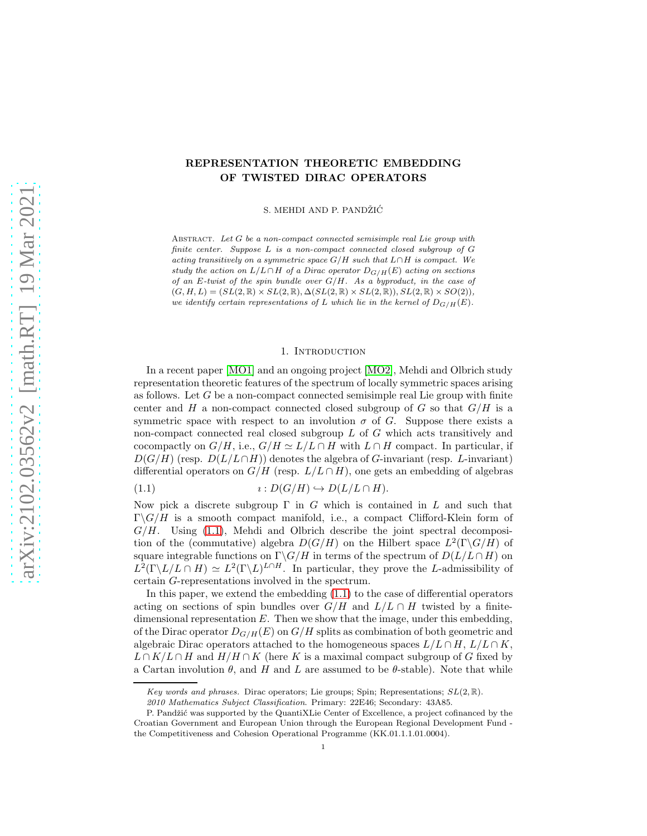# REPRESENTATION THEORETIC EMBEDDING OF TWISTED DIRAC OPERATORS

S. MEHDI AND P. PANDŽIĆ

ABSTRACT. Let G be a non-compact connected semisimple real Lie group with finite center. Suppose L is a non-compact connected closed subgroup of G acting transitively on a symmetric space  $G/H$  such that  $L \cap H$  is compact. We study the action on  $L/L \cap H$  of a Dirac operator  $D_{G/H}(E)$  acting on sections of an E-twist of the spin bundle over  $G/H$ . As a byproduct, in the case of  $(G, H, L) = (SL(2, \mathbb{R}) \times SL(2, \mathbb{R}), \Delta(SL(2, \mathbb{R}) \times SL(2, \mathbb{R})), SL(2, \mathbb{R}) \times SO(2)),$ we identify certain representations of L which lie in the kernel of  $D_{G/H}(E)$ .

## 1. Introduction

In a recent paper [\[MO1\]](#page-19-0) and an ongoing project [\[MO2\]](#page-19-1), Mehdi and Olbrich study representation theoretic features of the spectrum of locally symmetric spaces arising as follows. Let  $G$  be a non-compact connected semisimple real Lie group with finite center and H a non-compact connected closed subgroup of G so that  $G/H$  is a symmetric space with respect to an involution  $\sigma$  of G. Suppose there exists a non-compact connected real closed subgroup  $L$  of  $G$  which acts transitively and cocompactly on  $G/H$ , i.e.,  $G/H \simeq L/L \cap H$  with  $L \cap H$  compact. In particular, if  $D(G/H)$  (resp.  $D(L/L\cap H)$ ) denotes the algebra of G-invariant (resp. L-invariant) differential operators on  $G/H$  (resp.  $L/L \cap H$ ), one gets an embedding of algebras

<span id="page-0-0"></span>(1.1)  $\iota: D(G/H) \hookrightarrow D(L/L \cap H).$ 

Now pick a discrete subgroup  $\Gamma$  in G which is contained in L and such that  $\Gamma \backslash G/H$  is a smooth compact manifold, i.e., a compact Clifford-Klein form of  $G/H$ . Using  $(1.1)$ , Mehdi and Olbrich describe the joint spectral decomposition of the (commutative) algebra  $D(G/H)$  on the Hilbert space  $L^2(\Gamma \backslash G/H)$  of square integrable functions on  $\Gamma \backslash G/H$  in terms of the spectrum of  $D(L/L \cap H)$  on  $L^2(\Gamma \backslash L/L \cap H) \simeq L^2(\Gamma \backslash L)^{L \cap H}$ . In particular, they prove the L-admissibility of certain G-representations involved in the spectrum.

In this paper, we extend the embedding  $(1.1)$  to the case of differential operators acting on sections of spin bundles over  $G/H$  and  $L/L \cap H$  twisted by a finitedimensional representation  $E$ . Then we show that the image, under this embedding, of the Dirac operator  $D_{G/H}(E)$  on  $G/H$  splits as combination of both geometric and algebraic Dirac operators attached to the homogeneous spaces  $L/L \cap H$ ,  $L/L \cap K$ ,  $L \cap K/L \cap H$  and  $H/H \cap K$  (here K is a maximal compact subgroup of G fixed by a Cartan involution  $\theta$ , and H and L are assumed to be  $\theta$ -stable). Note that while

Key words and phrases. Dirac operators; Lie groups; Spin; Representations;  $SL(2,\mathbb{R})$ .

<sup>2010</sup> Mathematics Subject Classification. Primary: 22E46; Secondary: 43A85.

P. Pandžić was supported by the QuantiXLie Center of Excellence, a project cofinanced by the Croatian Government and European Union through the European Regional Development Fund the Competitiveness and Cohesion Operational Programme (KK.01.1.1.01.0004).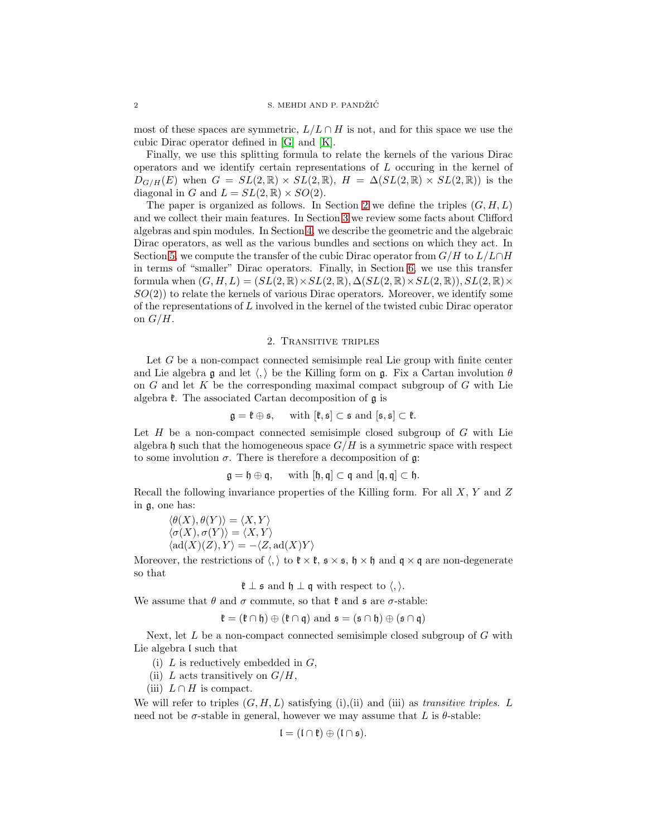most of these spaces are symmetric,  $L/L \cap H$  is not, and for this space we use the cubic Dirac operator defined in [\[G\]](#page-19-2) and [\[K\]](#page-19-3).

Finally, we use this splitting formula to relate the kernels of the various Dirac operators and we identify certain representations of L occuring in the kernel of  $D_{G/H}(E)$  when  $G = SL(2,\mathbb{R}) \times SL(2,\mathbb{R})$ ,  $H = \Delta(SL(2,\mathbb{R}) \times SL(2,\mathbb{R}))$  is the diagonal in G and  $L = SL(2, \mathbb{R}) \times SO(2)$ .

The paper is organized as follows. In Section [2](#page-1-0) we define the triples  $(G, H, L)$ and we collect their main features. In Section [3](#page-4-0) we review some facts about Clifford algebras and spin modules. In Section [4,](#page-7-0) we describe the geometric and the algebraic Dirac operators, as well as the various bundles and sections on which they act. In Section [5,](#page-9-0) we compute the transfer of the cubic Dirac operator from  $G/H$  to  $L/L\cap H$ in terms of "smaller" Dirac operators. Finally, in Section [6,](#page-14-0) we use this transfer formula when  $(G, H, L) = (SL(2, \mathbb{R}) \times SL(2, \mathbb{R}), \Delta(SL(2, \mathbb{R}) \times SL(2, \mathbb{R})), SL(2, \mathbb{R}) \times$  $SO(2)$ ) to relate the kernels of various Dirac operators. Moreover, we identify some of the representations of L involved in the kernel of the twisted cubic Dirac operator on  $G/H$ .

## 2. Transitive triples

<span id="page-1-0"></span>Let  $G$  be a non-compact connected semisimple real Lie group with finite center and Lie algebra  $\mathfrak g$  and let  $\langle , \rangle$  be the Killing form on  $\mathfrak g$ . Fix a Cartan involution  $\theta$ on  $G$  and let  $K$  be the corresponding maximal compact subgroup of  $G$  with Lie algebra  $\ell$ . The associated Cartan decomposition of  $\mathfrak g$  is

$$
\mathfrak{g}=\mathfrak{k}\oplus\mathfrak{s},\quad\text{ with }[\mathfrak{k},\mathfrak{s}]\subset\mathfrak{s}\text{ and }[\mathfrak{s},\mathfrak{s}]\subset\mathfrak{k}.
$$

Let  $H$  be a non-compact connected semisimple closed subgroup of  $G$  with Lie algebra h such that the homogeneous space  $G/H$  is a symmetric space with respect to some involution  $\sigma$ . There is therefore a decomposition of  $\mathfrak{g}$ :

$$
\mathfrak{g}=\mathfrak{h}\oplus\mathfrak{q},\quad\text{ with }[\mathfrak{h},\mathfrak{q}]\subset\mathfrak{q}\text{ and }[\mathfrak{q},\mathfrak{q}]\subset\mathfrak{h}.
$$

Recall the following invariance properties of the Killing form. For all X, Y and Z in g, one has:

$$
\langle \theta(X), \theta(Y) \rangle = \langle X, Y \rangle \langle \sigma(X), \sigma(Y) \rangle = \langle X, Y \rangle \langle \text{ad}(X)(Z), Y \rangle = -\langle Z, \text{ad}(X)Y \rangle
$$

Moreover, the restrictions of  $\langle, \rangle$  to  $\ell \times \ell$ ,  $s \times s$ ,  $\mathfrak{h} \times \mathfrak{h}$  and  $\mathfrak{q} \times \mathfrak{q}$  are non-degenerate so that

$$
\mathfrak{k} \perp \mathfrak{s}
$$
 and  $\mathfrak{h} \perp \mathfrak{q}$  with respect to  $\langle$ ,  $\rangle$ .

We assume that  $\theta$  and  $\sigma$  commute, so that  $\mathfrak k$  and  $\mathfrak s$  are  $\sigma$ -stable:

$$
\mathfrak{k} = (\mathfrak{k} \cap \mathfrak{h}) \oplus (\mathfrak{k} \cap \mathfrak{q}) \text{ and } \mathfrak{s} = (\mathfrak{s} \cap \mathfrak{h}) \oplus (\mathfrak{s} \cap \mathfrak{q})
$$

Next, let  $L$  be a non-compact connected semisimple closed subgroup of  $G$  with Lie algebra  $\mathfrak l$  such that

- (i)  $L$  is reductively embedded in  $G$ ,
- (ii) L acts transitively on  $G/H$ ,
- (iii)  $L \cap H$  is compact.

We will refer to triples (G, H, L) satisfying (i),(ii) and (iii) as *transitive triples*. L need not be  $\sigma$ -stable in general, however we may assume that L is  $\theta$ -stable:

$$
\mathfrak{l}=(\mathfrak{l}\cap\mathfrak{k})\oplus(\mathfrak{l}\cap\mathfrak{s}).
$$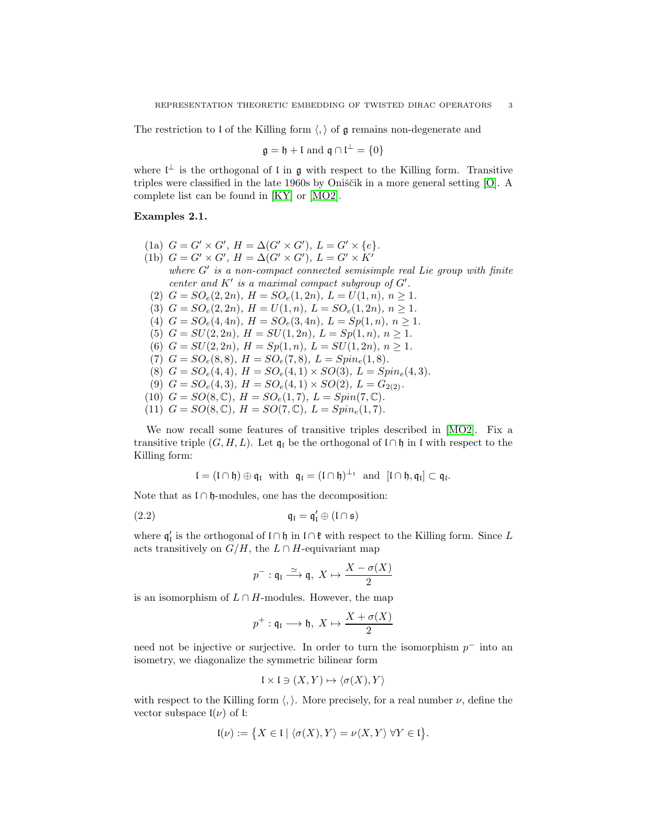The restriction to I of the Killing form  $\langle, \rangle$  of g remains non-degenerate and

$$
\mathfrak{g} = \mathfrak{h} + \mathfrak{l} \text{ and } \mathfrak{q} \cap \mathfrak{l}^{\perp} = \{0\}
$$

where  $\mathfrak{l}^{\perp}$  is the orthogonal of  $\mathfrak{l}$  in  $\mathfrak{g}$  with respect to the Killing form. Transitive triples were classified in the late  $1960s$  by Oniščik in a more general setting [\[O\]](#page-19-4). A complete list can be found in [\[KY\]](#page-19-5) or [\[MO2\]](#page-19-1).

## Examples 2.1.

- $(1a)$   $G = G' \times G'$ ,  $H = \Delta(G' \times G')$ ,  $L = G' \times \{e\}.$
- (1b)  $G = G' \times G'$ ,  $H = \Delta(G' \times G')$ ,  $L = G' \times K'$

*where* G′ *is a non-compact connected semisimple real Lie group with finite center and*  $K'$  *is a maximal compact subgroup of*  $G'$ *.* 

- (2)  $G = SO_e(2, 2n)$ ,  $H = SO_e(1, 2n)$ ,  $L = U(1, n)$ ,  $n \ge 1$ .
- (3)  $G = SO_e(2, 2n)$ ,  $H = U(1, n)$ ,  $L = SO_e(1, 2n)$ ,  $n \ge 1$ .
- (4)  $G = SO_e(4, 4n)$ ,  $H = SO_e(3, 4n)$ ,  $L = Sp(1, n)$ ,  $n \ge 1$ .
- (5)  $G = SU(2, 2n)$ *,*  $H = SU(1, 2n)$ *,*  $L = Sp(1, n)$ *,*  $n > 1$ *.*
- (6)  $G = SU(2, 2n)$ ,  $H = Sp(1, n)$ ,  $L = SU(1, 2n)$ ,  $n \ge 1$ .
- (7)  $G = SO_e(8,8), H = SO_e(7,8), L = Spin_e(1,8).$
- (8)  $G = SO_e(4, 4)$ ,  $H = SO_e(4, 1) \times SO(3)$ ,  $L = Spin_e(4, 3)$ .
- (9)  $G = SO_e(4,3)$ ,  $H = SO_e(4,1) \times SO(2)$ ,  $L = G_{2(2)}$ .
- (10)  $G = SO(8, \mathbb{C}), H = SO<sub>e</sub>(1, 7), L = Spin(7, \mathbb{C}).$
- (11)  $G = SO(8, \mathbb{C}), H = SO(7, \mathbb{C}), L = Spin<sub>e</sub>(1, 7).$

We now recall some features of transitive triples described in [\[MO2\]](#page-19-1). Fix a transitive triple  $(G, H, L)$ . Let  $\mathfrak{q}_1$  be the orthogonal of l∩h in l with respect to the Killing form:

$$
\mathfrak{l}=(\mathfrak{l}\cap\mathfrak{h})\oplus\mathfrak{q}_{\mathfrak{l}}\ \ \text{with}\ \ \mathfrak{q}_{\mathfrak{l}}=(\mathfrak{l}\cap\mathfrak{h})^{\perp_{\mathfrak{l}}}\ \ \text{and}\ \ [\mathfrak{l}\cap\mathfrak{h},\mathfrak{q}_{\mathfrak{l}}]\subset\mathfrak{q}_{\mathfrak{l}}.
$$

Note that as  $\mathfrak{l} \cap \mathfrak{h}$ -modules, one has the decomposition:

$$
\mathfrak{q}_{\mathfrak{l}} = \mathfrak{q}'_{\mathfrak{l}} \oplus (\mathfrak{l} \cap \mathfrak{s})
$$

where  $\mathfrak{q}'_l$  is the orthogonal of  $\mathfrak{l} \cap \mathfrak{h}$  in  $\mathfrak{l} \cap \mathfrak{k}$  with respect to the Killing form. Since L acts transitively on  $G/H$ , the  $L \cap H$ -equivariant map

<span id="page-2-0"></span>
$$
p^-: \mathfrak{q}_\mathfrak{l} \stackrel{\simeq}{\longrightarrow} \mathfrak{q},\ X \mapsto \frac{X - \sigma(X)}{2}
$$

is an isomorphism of  $L \cap H$ -modules. However, the map

$$
p^+ : \mathfrak{q}_\mathfrak{l} \longrightarrow \mathfrak{h}, X \mapsto \frac{X + \sigma(X)}{2}
$$

need not be injective or surjective. In order to turn the isomorphism  $p^-$  into an isometry, we diagonalize the symmetric bilinear form

$$
\mathfrak{l} \times \mathfrak{l} \ni (X, Y) \mapsto \langle \sigma(X), Y \rangle
$$

with respect to the Killing form  $\langle , \rangle$ . More precisely, for a real number  $\nu$ , define the vector subspace  $\mathfrak{l}(\nu)$  of  $\mathfrak{l}$ :

$$
\mathfrak{l}(\nu) := \big\{ X \in \mathfrak{l} \mid \langle \sigma(X), Y \rangle = \nu \langle X, Y \rangle \ \forall Y \in \mathfrak{l} \big\}.
$$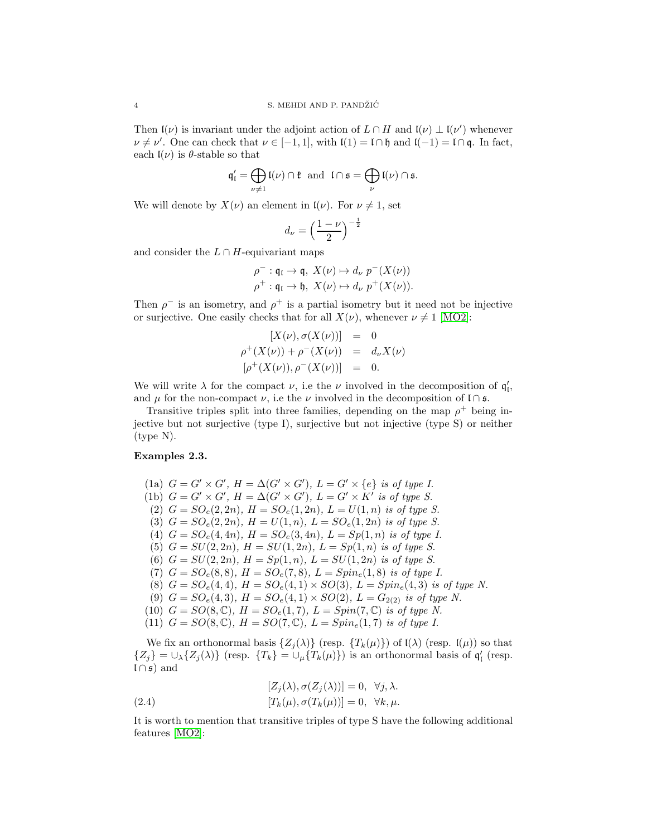Then  $\mathfrak{l}(\nu)$  is invariant under the adjoint action of  $L \cap H$  and  $\mathfrak{l}(\nu) \perp \mathfrak{l}(\nu')$  whenever  $\nu \neq \nu'$ . One can check that  $\nu \in [-1, 1]$ , with  $\mathfrak{l}(1) = \mathfrak{l} \cap \mathfrak{h}$  and  $\mathfrak{l}(-1) = \mathfrak{l} \cap \mathfrak{q}$ . In fact, each  $I(\nu)$  is  $\theta$ -stable so that

$$
\mathfrak{q}'_I = \bigoplus_{\nu \neq 1} \mathfrak{l}(\nu) \cap \mathfrak{k} \text{ and } \mathfrak{l} \cap \mathfrak{s} = \bigoplus_{\nu} \mathfrak{l}(\nu) \cap \mathfrak{s}.
$$

We will denote by  $X(\nu)$  an element in  $\mathfrak{l}(\nu)$ . For  $\nu \neq 1$ , set

$$
d_{\nu} = \left(\frac{1-\nu}{2}\right)^{-\frac{1}{2}}
$$

and consider the  $L \cap H$ -equivariant maps

$$
\rho^-: \mathfrak{q}_\mathfrak{l} \to \mathfrak{q}, \ X(\nu) \mapsto d_\nu \ p^-(X(\nu))
$$
  

$$
\rho^+: \mathfrak{q}_\mathfrak{l} \to \mathfrak{h}, \ X(\nu) \mapsto d_\nu \ p^+(X(\nu)).
$$

Then  $\rho^-$  is an isometry, and  $\rho^+$  is a partial isometry but it need not be injective or surjective. One easily checks that for all  $X(\nu)$ , whenever  $\nu \neq 1$  [\[MO2\]](#page-19-1):

$$
[X(\nu), \sigma(X(\nu))] = 0
$$
  
\n
$$
\rho^{+}(X(\nu)) + \rho^{-}(X(\nu)) = d_{\nu}X(\nu)
$$
  
\n
$$
[\rho^{+}(X(\nu)), \rho^{-}(X(\nu))] = 0.
$$

We will write  $\lambda$  for the compact  $\nu$ , i.e the  $\nu$  involved in the decomposition of  $\mathfrak{q}'_1$ , and  $\mu$  for the non-compact  $\nu$ , i.e the  $\nu$  involved in the decomposition of l ∩ s.

Transitive triples split into three families, depending on the map  $\rho^+$  being injective but not surjective (type I), surjective but not injective (type S) or neither (type N).

## Examples 2.3.

- (1a)  $G = G' \times G'$ ,  $H = \Delta(G' \times G')$ ,  $L = G' \times \{e\}$  *is of type I.*
- (1b)  $G = G' \times G'$ ,  $H = \Delta(G' \times G')$ ,  $L = G' \times K'$  *is of type S.*
- (2)  $G = SO_e(2, 2n)$ ,  $H = SO_e(1, 2n)$ ,  $L = U(1, n)$  *is of type S.*
- (3)  $G = SO_e(2, 2n)$ ,  $H = U(1, n)$ ,  $L = SO_e(1, 2n)$  *is of type S.*
- (4)  $G = SO_e(4, 4n)$ ,  $H = SO_e(3, 4n)$ ,  $L = Sp(1, n)$  *is of type I.*
- (5)  $G = SU(2, 2n)$ ,  $H = SU(1, 2n)$ ,  $L = Sp(1, n)$  *is of type S.*
- (6)  $G = SU(2, 2n)$ ,  $H = Sp(1, n)$ ,  $L = SU(1, 2n)$  *is of type S.*
- (7)  $G = SO_e(8,8)$ ,  $H = SO_e(7,8)$ ,  $L = Spin_e(1,8)$  *is of type I.*
- (8)  $G = SO_e(4, 4)$ ,  $H = SO_e(4, 1) \times SO(3)$ ,  $L = Spin_e(4, 3)$  *is of type N.*
- (9)  $G = SO_e(4,3)$ ,  $H = SO_e(4,1) \times SO(2)$ ,  $L = G_{2(2)}$  *is of type N.*
- (10)  $G = SO(8, \mathbb{C}), H = SO<sub>e</sub>(1, 7), L = Spin(7, \mathbb{C})$  *is of type N.*
- (11)  $G = SO(8, \mathbb{C}), H = SO(7, \mathbb{C}), L = Spin<sub>e</sub>(1, 7)$  *is of type I.*

We fix an orthonormal basis  $\{Z_j(\lambda)\}\$  (resp.  $\{T_k(\mu)\}\$ ) of  $\mathfrak{l}(\lambda)$  (resp.  $\mathfrak{l}(\mu)\$ ) so that  $\{Z_j\} = \bigcup_{\lambda} \{Z_j(\lambda)\}\$  (resp.  $\{T_k\} = \bigcup_{\mu} \{T_k(\mu)\}\$ ) is an orthonormal basis of  $\mathfrak{q}'_1$  (resp.  $l \cap s$  and

<span id="page-3-0"></span>(2.4) 
$$
[Z_j(\lambda), \sigma(Z_j(\lambda))] = 0, \quad \forall j, \lambda.
$$

$$
[T_k(\mu), \sigma(T_k(\mu))] = 0, \quad \forall k, \mu.
$$

It is worth to mention that transitive triples of type S have the following additional features [\[MO2\]](#page-19-1):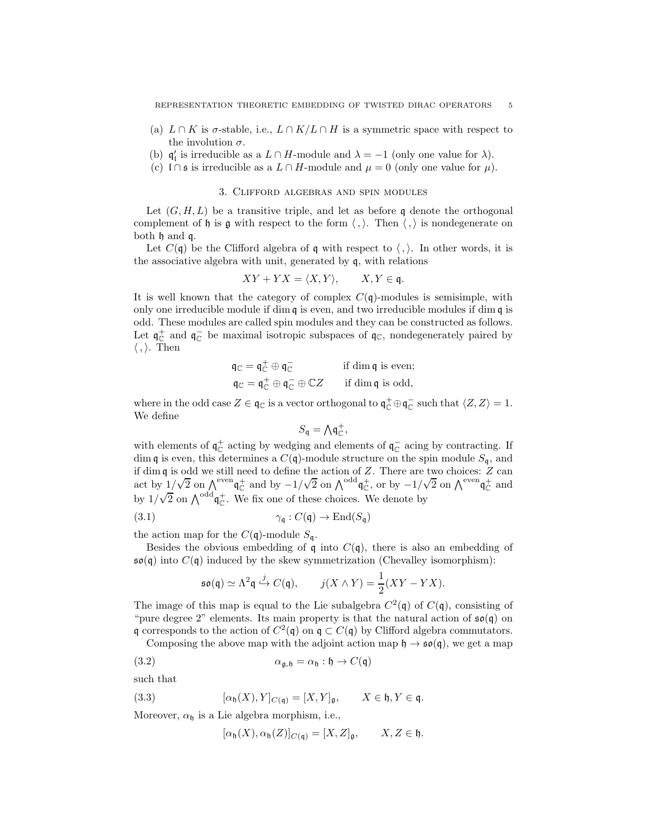- (a)  $L \cap K$  is  $\sigma$ -stable, i.e.,  $L \cap K/L \cap H$  is a symmetric space with respect to the involution  $\sigma$ .
- (b)  $\mathfrak{q}'_1$  is irreducible as a  $L \cap H$ -module and  $\lambda = -1$  (only one value for  $\lambda$ ).
- <span id="page-4-0"></span>(c)  $\text{I} \cap \text{s}$  is irreducible as a  $L \cap H$ -module and  $\mu = 0$  (only one value for  $\mu$ ).

### 3. Clifford algebras and spin modules

Let  $(G, H, L)$  be a transitive triple, and let as before q denote the orthogonal complement of h is g with respect to the form  $\langle , \rangle$ . Then  $\langle , \rangle$  is nondegenerate on both h and q.

Let  $C(\mathfrak{q})$  be the Clifford algebra of  $\mathfrak{q}$  with respect to  $\langle , \rangle$ . In other words, it is the associative algebra with unit, generated by q, with relations

$$
XY + YX = \langle X, Y \rangle, \qquad X, Y \in \mathfrak{q}.
$$

It is well known that the category of complex  $C(\mathfrak{q})$ -modules is semisimple, with only one irreducible module if dim  $q$  is even, and two irreducible modules if dim  $q$  is odd. These modules are called spin modules and they can be constructed as follows. Let  $\mathfrak{q}_{\mathbb{C}}^+$  and  $\mathfrak{q}_{\mathbb{C}}^-$  be maximal isotropic subspaces of  $\mathfrak{q}_{\mathbb{C}}$ , nondegenerately paired by  $\langle , \rangle$ . Then

$$
\begin{aligned}\n\mathfrak{q}_\mathbb{C} &= \mathfrak{q}_\mathbb{C}^+ \oplus \mathfrak{q}_\mathbb{C}^- & \text{if } \dim \mathfrak{q} \text{ is even;} \\
\mathfrak{q}_\mathbb{C} &= \mathfrak{q}_\mathbb{C}^+ \oplus \mathfrak{q}_\mathbb{C}^- \oplus \mathbb{C}Z & \text{if } \dim \mathfrak{q} \text{ is odd,}\n\end{aligned}
$$

where in the odd case  $Z \in \mathfrak{q}_{\mathbb{C}}$  is a vector orthogonal to  $\mathfrak{q}_{\mathbb{C}}^+ \oplus \mathfrak{q}_{\mathbb{C}}^-$  such that  $\langle Z, Z \rangle = 1$ . We define

$$
S_{\mathfrak{q}} = {\textstyle\bigwedge}\mathfrak{q}^+_{\mathbb{C}}
$$

,

with elements of  $\mathfrak{q}_{\mathbb{C}}^+$  acting by wedging and elements of  $\mathfrak{q}_{\mathbb{C}}^-$  acing by contracting. If dim q is even, this determines a  $C(\mathfrak{q})$ -module structure on the spin module  $S_{\mathfrak{q}}$ , and if dim q is odd we still need to define the action of Z. There are two choices: Z can act by  $1/\sqrt{2}$  on  $\bigwedge^{\text{even}} \mathfrak{q}_\mathbb{C}^+$  and by  $-1/\sqrt{2}$  on  $\bigwedge^{\text{odd}} \mathfrak{q}_\mathbb{C}^+$ , or by  $-1/\sqrt{2}$  on  $\bigwedge^{\text{even}} \mathfrak{q}_\mathbb{C}^+$  and by  $1/\sqrt{2}$  on  $\Lambda^{odd} q_C^+$ . We fix one of these choices. We denote by

(3.1) 
$$
\gamma_{\mathfrak{q}}: C(\mathfrak{q}) \to \text{End}(S_{\mathfrak{q}})
$$

the action map for the  $C(\mathfrak{q})$ -module  $S_{\mathfrak{q}}$ .

Besides the obvious embedding of  $\frak{q}$  into  $C(\frak{q})$ , there is also an embedding of  $\mathfrak{so}(\mathfrak{q})$  into  $C(\mathfrak{q})$  induced by the skew symmetrization (Chevalley isomorphism):

$$
\mathfrak{so}(\mathfrak{q}) \simeq \Lambda^2 \mathfrak{q} \xrightarrow{j} C(\mathfrak{q}), \qquad j(X \wedge Y) = \frac{1}{2}(XY - YX).
$$

The image of this map is equal to the Lie subalgebra  $C^2(\mathfrak{q})$  of  $C(\mathfrak{q})$ , consisting of "pure degree 2" elements. Its main property is that the natural action of  $\mathfrak{so}(\mathfrak{g})$  on q corresponds to the action of  $C^2(\mathfrak{q})$  on  $\mathfrak{q} \subset C(\mathfrak{q})$  by Clifford algebra commutators.

Composing the above map with the adjoint action map  $\mathfrak{h} \to \mathfrak{so}(\mathfrak{q})$ , we get a map

(3.2) 
$$
\alpha_{\mathfrak{g},\mathfrak{h}} = \alpha_{\mathfrak{h}} : \mathfrak{h} \to C(\mathfrak{q})
$$

such that

(3.3) 
$$
[\alpha_{\mathfrak{h}}(X), Y]_{C(\mathfrak{q})} = [X, Y]_{\mathfrak{g}}, \qquad X \in \mathfrak{h}, Y \in \mathfrak{q}.
$$

Moreover,  $\alpha_{\mathfrak{h}}$  is a Lie algebra morphism, i.e.,

<span id="page-4-1"></span>
$$
[\alpha_{\mathfrak{h}}(X), \alpha_{\mathfrak{h}}(Z)]_{C(\mathfrak{q})} = [X, Z]_{\mathfrak{g}}, \qquad X, Z \in \mathfrak{h}.
$$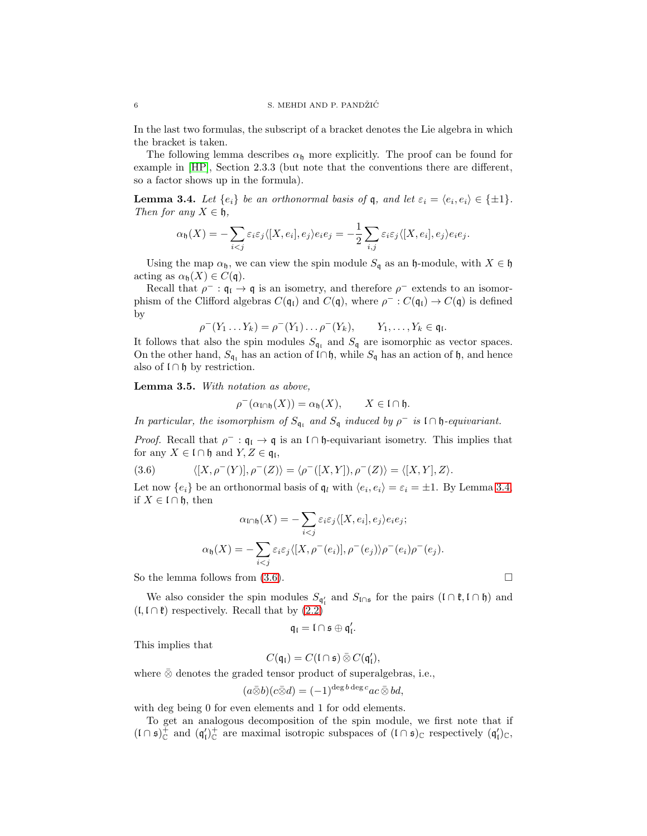In the last two formulas, the subscript of a bracket denotes the Lie algebra in which the bracket is taken.

The following lemma describes  $\alpha_{\mathfrak{h}}$  more explicitly. The proof can be found for example in [\[HP\]](#page-19-6), Section 2.3.3 (but note that the conventions there are different, so a factor shows up in the formula).

<span id="page-5-0"></span>**Lemma 3.4.** Let  $\{e_i\}$  be an orthonormal basis of **q**, and let  $\varepsilon_i = \langle e_i, e_i \rangle \in \{\pm 1\}.$ *Then for any*  $X \in \mathfrak{h}$ ,

$$
\alpha_{\mathfrak{h}}(X) = -\sum_{i < j} \varepsilon_i \varepsilon_j \langle [X, e_i], e_j \rangle e_i e_j = -\frac{1}{2} \sum_{i,j} \varepsilon_i \varepsilon_j \langle [X, e_i], e_j \rangle e_i e_j.
$$

Using the map  $\alpha_{\mathfrak{h}}$ , we can view the spin module  $S_{\mathfrak{q}}$  as an  $\mathfrak{h}$ -module, with  $X \in \mathfrak{h}$ acting as  $\alpha_{\mathfrak{h}}(X) \in C(\mathfrak{q}).$ 

Recall that  $\rho^- : \mathfrak{q}_\mathfrak{l} \to \mathfrak{q}$  is an isometry, and therefore  $\rho^-$  extends to an isomorphism of the Clifford algebras  $C(\mathfrak{q}_{\mathfrak{l}})$  and  $C(\mathfrak{q})$ , where  $\rho^- : C(\mathfrak{q}_{\mathfrak{l}}) \to C(\mathfrak{q})$  is defined by

$$
\rho^-(Y_1 \ldots Y_k) = \rho^-(Y_1) \ldots \rho^-(Y_k), \qquad Y_1, \ldots, Y_k \in \mathfrak{q}_1.
$$

It follows that also the spin modules  $S_{q_1}$  and  $S_q$  are isomorphic as vector spaces. On the other hand,  $S_{\mathfrak{q}_1}$  has an action of l∩h, while  $S_{\mathfrak{q}}$  has an action of h, and hence also of  $\mathfrak{l} \cap \mathfrak{h}$  by restriction.

Lemma 3.5. *With notation as above,*

$$
\rho^-(\alpha_{\mathfrak{l}\cap\mathfrak{h}}(X))=\alpha_{\mathfrak{h}}(X),\qquad X\in\mathfrak{l}\cap\mathfrak{h}.
$$

*In particular, the isomorphism of*  $S_{\mathfrak{q}_i}$  *and*  $S_{\mathfrak{q}}$  *induced by*  $\rho^-$  *is*  $\mathfrak{l} \cap \mathfrak{h}$ *-equivariant.* 

*Proof.* Recall that  $\rho^- : \mathfrak{q}_\mathfrak{l} \to \mathfrak{q}$  is an  $\mathfrak{l} \cap \mathfrak{h}$ -equivariant isometry. This implies that for any  $X \in \mathfrak{l} \cap \mathfrak{h}$  and  $Y, Z \in \mathfrak{q}_{\mathfrak{l}}$ ,

(3.6) 
$$
\langle [X, \rho^-(Y)], \rho^-(Z) \rangle = \langle \rho^-([X, Y]), \rho^-(Z) \rangle = \langle [X, Y], Z \rangle.
$$

Let now  $\{e_i\}$  be an orthonormal basis of  $\mathfrak{q}_l$  with  $\langle e_i, e_i \rangle = \varepsilon_i = \pm 1$ . By Lemma [3.4,](#page-5-0) if  $X \in \mathfrak{l} \cap \mathfrak{h}$ , then

<span id="page-5-1"></span>
$$
\alpha_{\mathfrak{l}\cap\mathfrak{h}}(X) = -\sum_{i < j} \varepsilon_i \varepsilon_j \langle [X, e_i], e_j \rangle e_i e_j; \\
\alpha_{\mathfrak{h}}(X) = -\sum_{i < j} \varepsilon_i \varepsilon_j \langle [X, \rho^-(e_i)], \rho^-(e_j) \rangle \rho^-(e_i) \rho^-(e_j).
$$

So the lemma follows from  $(3.6)$ .

We also consider the spin modules  $S_{\mathfrak{q}'_1}$  and  $S_{\mathfrak{l}\cap\mathfrak{s}}$  for the pairs  $(\mathfrak{l}\cap\mathfrak{k},\mathfrak{l}\cap\mathfrak{h})$  and  $(L, L \cap \mathfrak{k})$  respectively. Recall that by  $(2.2)$ 

$$
\mathfrak{q}_{\mathfrak{l}}=\mathfrak{l}\cap\mathfrak{s}\oplus\mathfrak{q}_{\mathfrak{l}}'.
$$

This implies that

$$
C(\mathfrak{q}_{\mathfrak{l}})=C(\mathfrak{l}\cap\mathfrak{s})\,\overline{\otimes}\,C(\mathfrak{q}_{\mathfrak{l}}'),
$$

where  $\bar{\otimes}$  denotes the graded tensor product of superalgebras, i.e.,

$$
(a\bar{\otimes}b)(c\bar{\otimes}d) = (-1)^{\deg b \deg c}ac \bar{\otimes} bd,
$$

with deg being 0 for even elements and 1 for odd elements.

To get an analogous decomposition of the spin module, we first note that if  $(I \cap \mathfrak{s})^+_{\mathbb{C}}$  and  $(\mathfrak{q}'_I)^+_{\mathbb{C}}$  are maximal isotropic subspaces of  $(I \cap \mathfrak{s})_{\mathbb{C}}$  respectively  $(\mathfrak{q}'_I)_{\mathbb{C}}$ ,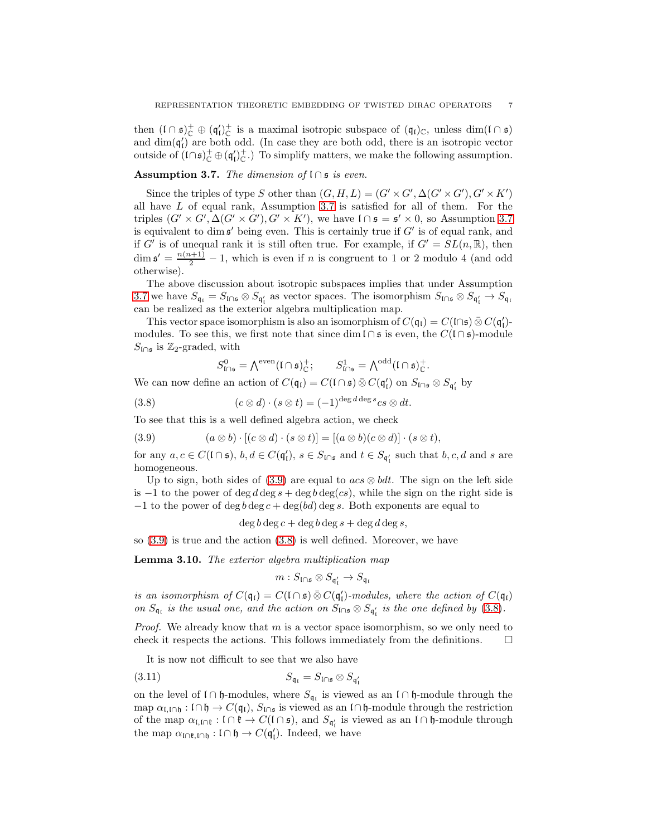then  $(I \cap \mathfrak{s})^+_{\mathbb{C}} \oplus (\mathfrak{q}'_l)^+_{\mathbb{C}}$  is a maximal isotropic subspace of  $(\mathfrak{q}_l)_{\mathbb{C}}$ , unless  $\dim(I \cap \mathfrak{s})$ and  $\dim(\mathfrak{q}'_l)$  are both odd. (In case they are both odd, there is an isotropic vector outside of  $(\text{log})^+_{\mathbb{C}} \oplus (\text{q}'_t)^+_{\mathbb{C}}$ . To simplify matters, we make the following assumption.

## <span id="page-6-0"></span>Assumption 3.7. *The dimension of* l ∩ s *is even.*

Since the triples of type S other than  $(G, H, L) = (G' \times G', \Delta(G' \times G'), G' \times K')$ all have L of equal rank, Assumption [3.7](#page-6-0) is satisfied for all of them. For the triples  $(G' \times G', \Delta(G' \times G'), G' \times K')$ , we have  $\Box \mathfrak{s} = \mathfrak{s}' \times 0$ , so Assumption [3.7](#page-6-0) is equivalent to dim  $\mathfrak{s}'$  being even. This is certainly true if  $G'$  is of equal rank, and if G' is of unequal rank it is still often true. For example, if  $G' = SL(n, \mathbb{R})$ , then  $\dim \mathfrak{s}' = \frac{n(n+1)}{2} - 1$ , which is even if n is congruent to 1 or 2 modulo 4 (and odd otherwise).

The above discussion about isotropic subspaces implies that under Assumption [3.7](#page-6-0) we have  $S_{\mathfrak{q}_1} = S_{\mathfrak{l} \cap \mathfrak{s}} \otimes S_{\mathfrak{q}'_1}$  as vector spaces. The isomorphism  $S_{\mathfrak{l} \cap \mathfrak{s}} \otimes S_{\mathfrak{q}'_1} \to S_{\mathfrak{q}_1}$ can be realized as the exterior algebra multiplication map.

This vector space isomorphism is also an isomorphism of  $C(\mathfrak{q}_{\mathfrak{l}}) = C(\mathfrak{l} \cap \mathfrak{s}) \bar{\otimes} C(\mathfrak{q}_{\mathfrak{l}}')$ modules. To see this, we first note that since dim  $\mathfrak{l} \cap \mathfrak{s}$  is even, the  $C(\mathfrak{l} \cap \mathfrak{s})$ -module  $S_{\mathfrak{l}\cap\mathfrak{s}}$  is Z<sub>2</sub>-graded, with

<span id="page-6-2"></span>
$$
S^0_{\mathfrak{l}\cap\mathfrak{s}}=\textstyle\bigwedge^{\mathrm{even}}(\mathfrak{l}\cap\mathfrak{s})^+_{\mathbb{C}};\qquad S^1_{\mathfrak{l}\cap\mathfrak{s}}=\textstyle\bigwedge^{\mathrm{odd}}(\mathfrak{l}\cap\mathfrak{s})^+_{\mathbb{C}}.
$$

We can now define an action of  $C(\mathfrak{q}_{\mathfrak{l}}) = C(\mathfrak{l} \cap \mathfrak{s}) \bar{\otimes} C(\mathfrak{q}'_{\mathfrak{l}})$  on  $S_{\mathfrak{l} \cap \mathfrak{s}} \otimes S_{\mathfrak{q}'_{\mathfrak{l}}}$  by

(3.8) 
$$
(c \otimes d) \cdot (s \otimes t) = (-1)^{\deg d \deg s} c s \otimes dt.
$$

To see that this is a well defined algebra action, we check

<span id="page-6-1"></span>(3.9) 
$$
(a \otimes b) \cdot [(c \otimes d) \cdot (s \otimes t)] = [(a \otimes b)(c \otimes d)] \cdot (s \otimes t),
$$

for any  $a, c \in C(\mathfrak{l} \cap \mathfrak{s}), b, d \in C(\mathfrak{q}'_l), s \in S_{\mathfrak{l} \cap \mathfrak{s}}$  and  $t \in S_{\mathfrak{q}'_l}$  such that  $b, c, d$  and s are homogeneous.

Up to sign, both sides of [\(3.9\)](#page-6-1) are equal to  $acs \otimes bdt$ . The sign on the left side is  $-1$  to the power of deg d deg s + deg b deg(cs), while the sign on the right side is  $-1$  to the power of deg  $b \deg c + \deg (bd) \deg s$ . Both exponents are equal to

 $\deg b \deg c + \deg b \deg s + \deg d \deg s,$ 

so [\(3.9\)](#page-6-1) is true and the action [\(3.8\)](#page-6-2) is well defined. Moreover, we have

<span id="page-6-3"></span>Lemma 3.10. *The exterior algebra multiplication map*

<span id="page-6-4"></span>
$$
m:S_{\mathfrak{l}\cap\mathfrak{s}}\otimes S_{\mathfrak{q}'_{\mathfrak{l}}}\to S_{\mathfrak{q}_{\mathfrak{l}}}
$$

*is an isomorphism of*  $C(\mathfrak{q}_\mathfrak{l}) = C(\mathfrak{l} \cap \mathfrak{s}) \bar{\otimes} C(\mathfrak{q}'_{\mathfrak{l}})$ -modules, where the action of  $C(\mathfrak{q}_{\mathfrak{l}})$ *on*  $S_{\mathfrak{q}_i}$  *is the usual one, and the action on*  $S_{\mathfrak{l}\cap\mathfrak{s}} \otimes S_{\mathfrak{q}'_i}$  *is the one defined by* [\(3.8\)](#page-6-2)*.* 

*Proof.* We already know that m is a vector space isomorphism, so we only need to check it respects the actions. This follows immediately from the definitions.  $\square$ 

It is now not difficult to see that we also have

$$
(3.11) \t\t S_{\mathfrak{q}_{\mathfrak{l}}} = S_{\mathfrak{l} \cap \mathfrak{s}} \otimes S_{\mathfrak{q}'_{\mathfrak{l}}}
$$

on the level of  $\mathfrak{l} \cap \mathfrak{h}$ -modules, where  $S_{\mathfrak{q}_i}$  is viewed as an  $\mathfrak{l} \cap \mathfrak{h}$ -module through the map  $\alpha_{\mathfrak{l},\mathfrak{l}\cap\mathfrak{h}}:\mathfrak{l}\cap\mathfrak{h}\to C(\mathfrak{q}_{\mathfrak{l}}),$  S<sub>l∩s</sub> is viewed as an l∩h-module through the restriction of the map  $\alpha_{\mathfrak{l},\mathfrak{l}\cap\mathfrak{k}}$  :  $\mathfrak{l}\cap\mathfrak{k}\to C(\mathfrak{l}\cap\mathfrak{s})$ , and  $S_{\mathfrak{q}'_{\mathfrak{l}}}$  is viewed as an  $\mathfrak{l}\cap\mathfrak{h}$ -module through the map  $\alpha_{\mathsf{In} \mathfrak{k},\mathsf{In} \mathfrak{h}} : \mathfrak{l} \cap \mathfrak{h} \to C(\mathfrak{q}'_{\mathfrak{l}})$ . Indeed, we have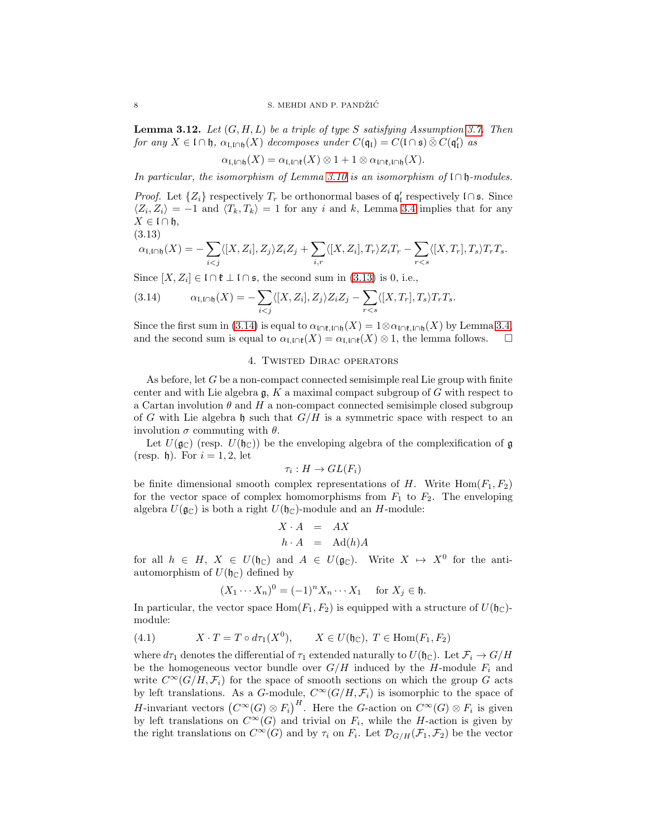Lemma 3.12. *Let* (G, H, L) *be a triple of type* S *satisfying Assumption [3.7.](#page-6-0) Then for any*  $X \in \mathfrak{l} \cap \mathfrak{h}$ ,  $\alpha_{\mathfrak{l},\mathfrak{l} \cap \mathfrak{h}}(X)$  *decomposes under*  $C(\mathfrak{q}_{\mathfrak{l}}) = C(\mathfrak{l} \cap \mathfrak{s}) \bar{\otimes} C(\mathfrak{q}'_{\mathfrak{l}})$  *as* 

 $\alpha_{\mathfrak{l},\mathfrak{l}\cap\mathfrak{h}}(X) = \alpha_{\mathfrak{l},\mathfrak{l}\cap\mathfrak{k}}(X) \otimes 1 + 1 \otimes \alpha_{\mathfrak{l}\cap\mathfrak{k},\mathfrak{l}\cap\mathfrak{h}}(X).$ 

*In particular, the isomorphism of Lemma [3.10](#page-6-3) is an isomorphism of* l ∩ h*-modules.*

*Proof.* Let  $\{Z_i\}$  respectively  $T_r$  be orthonormal bases of  $\mathfrak{q}'_l$  respectively  $\mathfrak{l} \cap \mathfrak{s}$ . Since  $\langle Z_i, Z_i \rangle = -1$  and  $\langle T_k, T_k \rangle = 1$  for any i and k, Lemma [3.4](#page-5-0) implies that for any  $X \in \mathfrak{l} \cap \mathfrak{h},$ 

$$
(3.13)
$$

<span id="page-7-1"></span>
$$
\alpha_{\mathfrak{l},\mathfrak{l}\cap\mathfrak{h}}(X)=-\sum_{i
$$

Since  $[X, Z_i] \in \mathfrak{l} \cap \mathfrak{k} \perp \mathfrak{l} \cap \mathfrak{s}$ , the second sum in [\(3.13\)](#page-7-1) is 0, i.e.,

<span id="page-7-2"></span>(3.14) 
$$
\alpha_{\mathfrak{l},\mathfrak{l}\cap\mathfrak{h}}(X)=-\sum_{i
$$

<span id="page-7-0"></span>Since the first sum in [\(3.14\)](#page-7-2) is equal to  $\alpha_{\mathfrak{l} \cap \mathfrak{k},\mathfrak{l} \cap \mathfrak{h}}(X) = 1 \otimes \alpha_{\mathfrak{l} \cap \mathfrak{k},\mathfrak{l} \cap \mathfrak{h}}(X)$  by Lemma [3.4,](#page-5-0) and the second sum is equal to  $\alpha_{\mathfrak{l} \cap \mathfrak{h}}(X) = \alpha_{\mathfrak{l} \cap \mathfrak{h}}(X) \otimes 1$ , the and the second sum is equal to  $\alpha_{\mathfrak{l},\mathfrak{l}\cap\mathfrak{k}}(X) = \alpha_{\mathfrak{l},\mathfrak{l}\cap\mathfrak{k}}(X) \otimes 1$ , the lemma follows.

## 4. Twisted Dirac operators

As before, let  $G$  be a non-compact connected semisimple real Lie group with finite center and with Lie algebra  $\mathfrak{g}$ , K a maximal compact subgroup of G with respect to a Cartan involution  $\theta$  and  $H$  a non-compact connected semisimple closed subgroup of G with Lie algebra h such that  $G/H$  is a symmetric space with respect to an involution  $\sigma$  commuting with  $\theta$ .

Let  $U(\mathfrak{g}_{\mathbb{C}})$  (resp.  $U(\mathfrak{h}_{\mathbb{C}})$ ) be the enveloping algebra of the complexification of  $\mathfrak{g}$ (resp. b). For  $i = 1, 2$ , let

$$
\tau_i: H \to GL(F_i)
$$

be finite dimensional smooth complex representations of H. Write  $\text{Hom}(F_1, F_2)$ for the vector space of complex homomorphisms from  $F_1$  to  $F_2$ . The enveloping algebra  $U(\mathfrak{g}_{\mathbb{C}})$  is both a right  $U(\mathfrak{h}_{\mathbb{C}})$ -module and an H-module:

$$
X \cdot A = AX
$$
  

$$
h \cdot A = \text{Ad}(h)A
$$

for all  $h \in H$ ,  $X \in U(\mathfrak{h}_{\mathbb{C}})$  and  $A \in U(\mathfrak{g}_{\mathbb{C}})$ . Write  $X \mapsto X^0$  for the antiautomorphism of  $U(\mathfrak{h}_{\mathbb{C}})$  defined by

<span id="page-7-3"></span>
$$
(X_1 \cdots X_n)^0 = (-1)^n X_n \cdots X_1 \quad \text{for } X_j \in \mathfrak{h}.
$$

In particular, the vector space  $\text{Hom}(F_1, F_2)$  is equipped with a structure of  $U(\mathfrak{h}_{\mathbb{C}})$ module:

(4.1) 
$$
X \cdot T = T \circ d\tau_1(X^0), \qquad X \in U(\mathfrak{h}_{\mathbb{C}}), T \in \text{Hom}(F_1, F_2)
$$

where  $d\tau_1$  denotes the differential of  $\tau_1$  extended naturally to  $U(\mathfrak{h}_\mathbb{C})$ . Let  $\mathcal{F}_i \to G/H$ be the homogeneous vector bundle over  $G/H$  induced by the H-module  $F_i$  and write  $C^{\infty}(G/H, \mathcal{F}_i)$  for the space of smooth sections on which the group G acts by left translations. As a G-module,  $C^{\infty}(G/H, \mathcal{F}_i)$  is isomorphic to the space of *H*-invariant vectors  $(C^{\infty}(G) \otimes F_i)^H$ . Here the *G*-action on  $C^{\infty}(G) \otimes F_i$  is given by left translations on  $C^{\infty}(G)$  and trivial on  $F_i$ , while the H-action is given by the right translations on  $C^{\infty}(G)$  and by  $\tau_i$  on  $F_i$ . Let  $\mathcal{D}_{G/H}(\mathcal{F}_1, \mathcal{F}_2)$  be the vector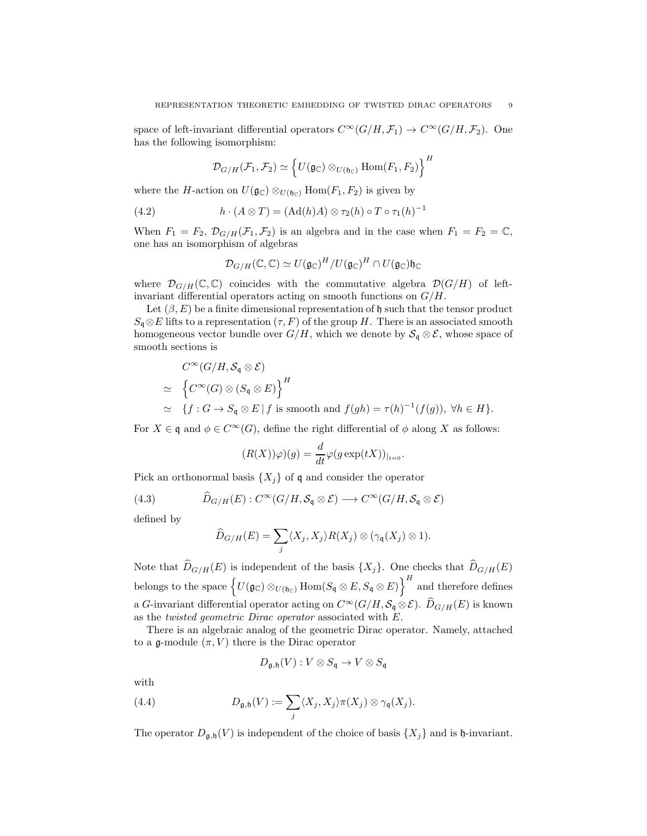space of left-invariant differential operators  $C^{\infty}(G/H, \mathcal{F}_1) \to C^{\infty}(G/H, \mathcal{F}_2)$ . One has the following isomorphism:

$$
\mathcal{D}_{G/H}(\mathcal{F}_1, \mathcal{F}_2) \simeq \left\{ U(\mathfrak{g}_{\mathbb{C}}) \otimes_{U(\mathfrak{h}_{\mathbb{C}})} \text{Hom}(F_1, F_2) \right\}^H
$$

where the H-action on  $U(\mathfrak{g}_{\mathbb{C}}) \otimes_{U(\mathfrak{h}_{\mathbb{C}})} \text{Hom}(F_1, F_2)$  is given by

(4.2) 
$$
h \cdot (A \otimes T) = (Ad(h)A) \otimes \tau_2(h) \circ T \circ \tau_1(h)^{-1}
$$

When  $F_1 = F_2$ ,  $\mathcal{D}_{G/H}(\mathcal{F}_1, \mathcal{F}_2)$  is an algebra and in the case when  $F_1 = F_2 = \mathbb{C}$ , one has an isomorphism of algebras

$$
\mathcal{D}_{G/H}(\mathbb{C},\mathbb{C})\simeq U(\mathfrak{g}_{\mathbb{C}})^H/U(\mathfrak{g}_{\mathbb{C}})^H\cap U(\mathfrak{g}_{\mathbb{C}})\mathfrak{h}_{\mathbb{C}}
$$

where  $\mathcal{D}_{G/H}(\mathbb{C}, \mathbb{C})$  coincides with the commutative algebra  $\mathcal{D}(G/H)$  of leftinvariant differential operators acting on smooth functions on  $G/H$ .

Let  $(\beta, E)$  be a finite dimensional representation of h such that the tensor product  $S_q \otimes E$  lifts to a representation  $(\tau, F)$  of the group H. There is an associated smooth homogeneous vector bundle over  $G/H$ , which we denote by  $\mathcal{S}_{\mathfrak{q}} \otimes \mathcal{E}$ , whose space of smooth sections is

$$
C^{\infty}(G/H, S_{\mathfrak{q}} \otimes \mathcal{E})
$$
  
\n
$$
\simeq \left\{ C^{\infty}(G) \otimes (S_{\mathfrak{q}} \otimes E) \right\}^{H}
$$
  
\n
$$
\simeq \left\{ f : G \to S_{\mathfrak{q}} \otimes E \mid f \text{ is smooth and } f(gh) = \tau(h)^{-1}(f(g)), \forall h \in H \right\}.
$$

For  $X \in \mathfrak{q}$  and  $\phi \in C^{\infty}(G)$ , define the right differential of  $\phi$  along X as follows:

$$
(R(X))\varphi)(g) = \frac{d}{dt}\varphi(g\exp(tX))_{|_{t=0}}.
$$

Pick an orthonormal basis  $\{X_i\}$  of q and consider the operator

(4.3) 
$$
\widehat{D}_{G/H}(E) : C^{\infty}(G/H, \mathcal{S}_q \otimes \mathcal{E}) \longrightarrow C^{\infty}(G/H, \mathcal{S}_q \otimes \mathcal{E})
$$

defined by

<span id="page-8-0"></span>
$$
\widehat{D}_{G/H}(E) = \sum_j \langle X_j, X_j \rangle R(X_j) \otimes (\gamma_{\mathfrak{q}}(X_j) \otimes 1).
$$

Note that  $\widehat{D}_{G/H}(E)$  is independent of the basis  $\{X_j\}$ . One checks that  $\widehat{D}_{G/H}(E)$ belongs to the space  $\Big\{ U({\mathfrak g}_{\mathbb C}) \otimes_{U({\mathfrak h}_{\mathbb C})} \mathrm{Hom}(S_{\mathfrak q} \otimes E, S_{\mathfrak q} \otimes E)\Big\}^H$  and therefore defines a G-invariant differential operator acting on  $C^{\infty}(G/H, \mathcal{S}_{q} \otimes \mathcal{E})$ .  $\widehat{D}_{G/H}(E)$  is known as the *twisted geometric Dirac operator* associated with E.

There is an algebraic analog of the geometric Dirac operator. Namely, attached to a g-module  $(\pi, V)$  there is the Dirac operator

<span id="page-8-1"></span>
$$
D_{\mathfrak{g},\mathfrak{h}}(V):V\otimes S_{\mathfrak{q}}\rightarrow V\otimes S_{\mathfrak{q}}
$$

with

(4.4) 
$$
D_{\mathfrak{g},\mathfrak{h}}(V) := \sum_j \langle X_j, X_j \rangle \pi(X_j) \otimes \gamma_{\mathfrak{q}}(X_j).
$$

The operator  $D_{\mathfrak{g},\mathfrak{h}}(V)$  is independent of the choice of basis  $\{X_j\}$  and is  $\mathfrak{h}$ -invariant.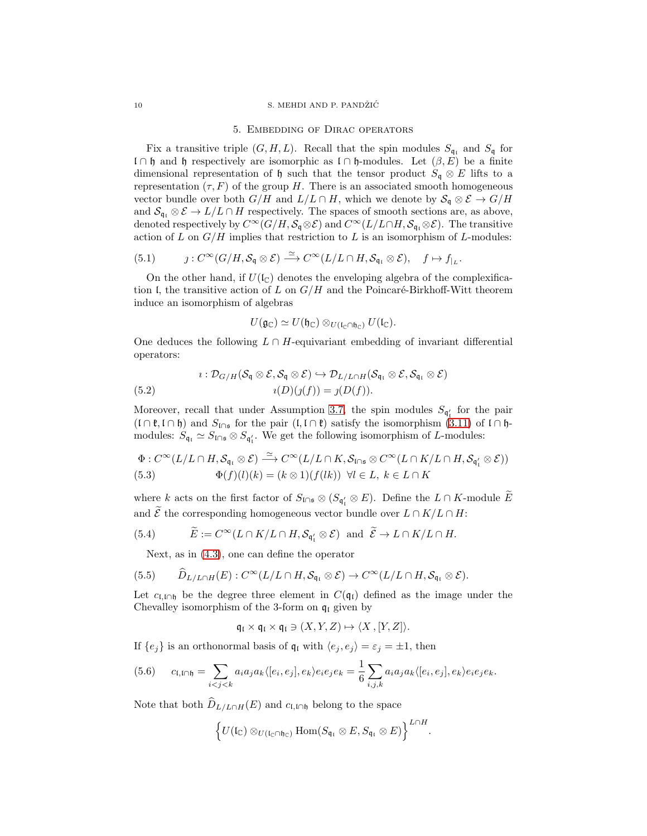### <span id="page-9-0"></span>10 S. MEHDI AND P. PANDŽIĆ

#### 5. Embedding of Dirac operators

Fix a transitive triple  $(G, H, L)$ . Recall that the spin modules  $S_{\mathfrak{q}_1}$  and  $S_{\mathfrak{q}}$  for l ∩ h and h respectively are isomorphic as l ∩ h-modules. Let  $(β, E)$  be a finite dimensional representation of  $\mathfrak h$  such that the tensor product  $S_{\mathfrak g} \otimes E$  lifts to a representation  $(\tau, F)$  of the group H. There is an associated smooth homogeneous vector bundle over both  $G/H$  and  $L/L \cap H$ , which we denote by  $\mathcal{S}_{\mathfrak{q}} \otimes \mathcal{E} \to G/H$ and  $S_{\mathfrak{q}_i} \otimes \mathcal{E} \to L/L \cap H$  respectively. The spaces of smooth sections are, as above, denoted respectively by  $C^{\infty}(G/H, \mathcal{S}_{\mathfrak{q}} \otimes \mathcal{E})$  and  $C^{\infty}(L/L \cap H, \mathcal{S}_{\mathfrak{q}_l} \otimes \mathcal{E})$ . The transitive action of L on  $G/H$  implies that restriction to L is an isomorphism of L-modules:

$$
(5.1) \t j: C^{\infty}(G/H, \mathcal{S}_{\mathfrak{q}} \otimes \mathcal{E}) \xrightarrow{\simeq} C^{\infty}(L/L \cap H, \mathcal{S}_{\mathfrak{q}_I} \otimes \mathcal{E}), \quad f \mapsto f|_{L}.
$$

On the other hand, if  $U(\mathfrak{l}_{\mathbb{C}})$  denotes the enveloping algebra of the complexification I, the transitive action of L on  $G/H$  and the Poincaré-Birkhoff-Witt theorem induce an isomorphism of algebras

$$
U(\mathfrak{g}_{\mathbb{C}})\simeq U(\mathfrak{h}_{\mathbb{C}})\otimes_{U(\mathfrak{l}_{\mathbb{C}}\cap\mathfrak{h}_{\mathbb{C}})}U(\mathfrak{l}_{\mathbb{C}}).
$$

One deduces the following  $L \cap H$ -equivariant embedding of invariant differential operators:

$$
i: \mathcal{D}_{G/H}(\mathcal{S}_{\mathfrak{q}} \otimes \mathcal{E}, \mathcal{S}_{\mathfrak{q}} \otimes \mathcal{E}) \hookrightarrow \mathcal{D}_{L/L \cap H}(\mathcal{S}_{\mathfrak{q}_1} \otimes \mathcal{E}, \mathcal{S}_{\mathfrak{q}_1} \otimes \mathcal{E})
$$
  
(5.2) 
$$
i(D)(j(f)) = j(D(f)).
$$

Moreover, recall that under Assumption [3.7,](#page-6-0) the spin modules  $S_{\mathfrak{q}'_1}$  for the pair  $(I \cap \mathfrak{k}, I \cap \mathfrak{h})$  and  $S_{\mathfrak{l} \cap \mathfrak{s}}$  for the pair  $(I, I \cap \mathfrak{k})$  satisfy the isomorphism  $(3.11)$  of  $I \cap \mathfrak{h}$ modules:  $S_{\mathfrak{q}_i} \simeq S_{\mathfrak{q}_i} \otimes S_{\mathfrak{q}_i'}$ . We get the following isomorphism of L-modules:

<span id="page-9-1"></span>
$$
\Phi: C^{\infty}(L/L\cap H, \mathcal{S}_{\mathfrak{q}_1}\otimes \mathcal{E}) \xrightarrow{\simeq} C^{\infty}(L/L\cap K, \mathcal{S}_{\mathfrak{l}\cap\mathfrak{s}}\otimes C^{\infty}(L\cap K/L\cap H, \mathcal{S}_{\mathfrak{q}'_1}\otimes \mathcal{E}))
$$
  
(5.3) 
$$
\Phi(f)(l)(k) = (k\otimes 1)(f(lk)) \quad \forall l \in L, \ k \in L\cap K
$$

where k acts on the first factor of  $S_{\mathfrak{l}\cap\mathfrak{s}} \otimes (S_{\mathfrak{q}'_{\mathfrak{l}}} \otimes E)$ . Define the  $L \cap K$ -module E and  $\widetilde{\mathcal{E}}$  the corresponding homogeneous vector bundle over  $L \cap K/L \cap H$ :

(5.4) 
$$
\widetilde{E} := C^{\infty}(L \cap K/L \cap H, \mathcal{S}_{\mathfrak{q}'_1} \otimes \mathcal{E})
$$
 and  $\widetilde{\mathcal{E}} \to L \cap K/L \cap H$ .

Next, as in [\(4.3\)](#page-8-0), one can define the operator

(5.5) 
$$
\widehat{D}_{L/L\cap H}(E): C^{\infty}(L/L\cap H, \mathcal{S}_{\mathfrak{q}_I} \otimes \mathcal{E}) \to C^{\infty}(L/L\cap H, \mathcal{S}_{\mathfrak{q}_I} \otimes \mathcal{E}).
$$

Let  $c_{\text{L,1}\cap\text{h}}$  be the degree three element in  $C(\mathfrak{q}_{\text{L}})$  defined as the image under the Chevalley isomorphism of the 3-form on  $q_1$  given by

$$
\mathfrak{q}_{\mathfrak{l}} \times \mathfrak{q}_{\mathfrak{l}} \times \mathfrak{q}_{\mathfrak{l}} \ni (X, Y, Z) \mapsto \langle X, [Y, Z] \rangle.
$$

If  $\{e_j\}$  is an orthonormal basis of  $\mathfrak{q}_{\mathfrak{l}}$  with  $\langle e_j , e_j \rangle = \varepsilon_j = \pm 1$ , then

<span id="page-9-2"></span>
$$
(5.6) \qquad c_{\mathfrak{l},\mathfrak{l}\cap\mathfrak{h}}=\sum_{i
$$

Note that both  $D_{L/L\cap H}(E)$  and  $c_{\mathfrak{l},\mathfrak{l}\cap\mathfrak{h}}$  belong to the space

$$
\left\{U(\mathfrak{l}_{\mathbb{C}})\otimes_{U(\mathfrak{l}_{\mathbb{C}}\cap\mathfrak{h}_{\mathbb{C}})}\text{Hom}(S_{\mathfrak{q}_{\mathfrak{l}}}\otimes E,S_{\mathfrak{q}_{\mathfrak{l}}}\otimes E)\right\}^{L\cap H}
$$

.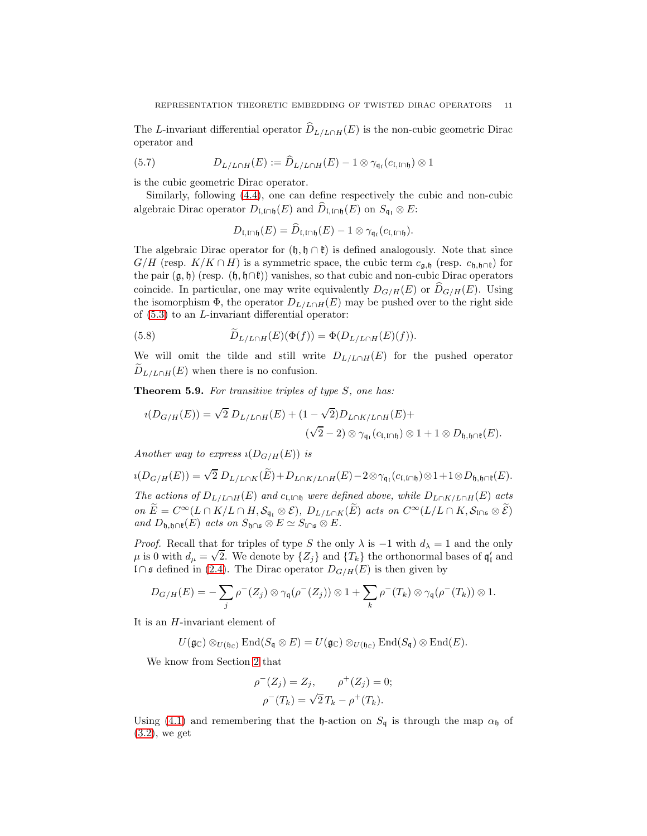The L-invariant differential operator  $D_{L/L\cap H}(E)$  is the non-cubic geometric Dirac operator and

(5.7) 
$$
D_{L/L \cap H}(E) := \widehat{D}_{L/L \cap H}(E) - 1 \otimes \gamma_{\mathfrak{q}_I}(c_{\mathfrak{l},\mathfrak{l} \cap \mathfrak{h}}) \otimes 1
$$

is the cubic geometric Dirac operator.

Similarly, following [\(4.4\)](#page-8-1), one can define respectively the cubic and non-cubic algebraic Dirac operator  $D_{\mathfrak{l},\mathfrak{l}\cap\mathfrak{h}}(E)$  and  $\widehat{D}_{\mathfrak{l},\mathfrak{l}\cap\mathfrak{h}}(E)$  on  $S_{\mathfrak{q}_\mathfrak{l}}\otimes E$ :

$$
D_{\mathfrak{l},\mathfrak{l}\cap\mathfrak{h}}(E)=\widehat{D}_{\mathfrak{l},\mathfrak{l}\cap\mathfrak{h}}(E)-1\otimes\gamma_{\mathfrak{q}_{\mathfrak{l}}}(c_{\mathfrak{l},\mathfrak{l}\cap\mathfrak{h}}).
$$

The algebraic Dirac operator for  $(\mathfrak{h}, \mathfrak{h} \cap \mathfrak{k})$  is defined analogously. Note that since  $G/H$  (resp.  $K/K \cap H$ ) is a symmetric space, the cubic term  $c_{\mathfrak{g},\mathfrak{h}}$  (resp.  $c_{\mathfrak{h},\mathfrak{h} \cap \mathfrak{k}}$ ) for the pair  $(\mathfrak{g}, \mathfrak{h})$  (resp.  $(\mathfrak{h}, \mathfrak{h} \cap \mathfrak{k})$ ) vanishes, so that cubic and non-cubic Dirac operators coincide. In particular, one may write equivalently  $D_{G/H}(E)$  or  $D_{G/H}(E)$ . Using the isomorphism  $\Phi$ , the operator  $D_{L/L\cap H}(E)$  may be pushed over to the right side of  $(5.3)$  to an *L*-invariant differential operator:

(5.8) 
$$
\widetilde{D}_{L/L\cap H}(E)(\Phi(f)) = \Phi(D_{L/L\cap H}(E)(f)).
$$

We will omit the tilde and still write  $D_{L/L\cap H}(E)$  for the pushed operator  $D_{L/L\cap H}(E)$  when there is no confusion.

<span id="page-10-0"></span>Theorem 5.9. *For transitive triples of type* S*, one has:*

$$
i(D_{G/H}(E)) = \sqrt{2} D_{L/L \cap H}(E) + (1 - \sqrt{2}) D_{L \cap K/L \cap H}(E) +
$$
  

$$
(\sqrt{2} - 2) \otimes \gamma_{\mathfrak{q}_1}(c_{\mathfrak{l}, \mathfrak{l} \cap \mathfrak{h}}) \otimes 1 + 1 \otimes D_{\mathfrak{h}, \mathfrak{h} \cap \mathfrak{k}}(E).
$$

*Another way to express*  $\iota(D_{G/H}(E))$  *is* 

$$
\imath(D_{G/H}(E))=\sqrt{2}\;D_{L/L\cap K}(\widetilde{E})+D_{L\cap K/L\cap H}(E)-2\otimes \gamma_{\mathfrak{q}_1}(c_{\mathfrak{l},\mathfrak{l}\cap\mathfrak{h}})\otimes 1+1\otimes D_{\mathfrak{h},\mathfrak{h}\cap\mathfrak{k}}(E).
$$

*The actions of*  $D_{L/L\cap H}(E)$  *and*  $c_{L,\text{L}\cap B}$  *were defined above, while*  $D_{L\cap K/L\cap H}(E)$  *acts on*  $E = C^{\infty}(L \cap K/L \cap H, S_{\mathfrak{q}_i} \otimes \mathcal{E}), D_{L/L \cap K}(E)$  *acts on*  $C^{\infty}(L/L \cap K, S_{\mathfrak{l} \cap \mathfrak{s}} \otimes \mathcal{E})$ *and*  $D_{\mathfrak{h},\mathfrak{h}\cap\mathfrak{k}}(E)$  *acts on*  $S_{\mathfrak{h}\cap\mathfrak{s}} \otimes E \simeq S_{\mathfrak{l}\cap\mathfrak{s}} \otimes E$ .

*Proof.* Recall that for triples of type S the only  $\lambda$  is  $-1$  with  $d_{\lambda} = 1$  and the only  $\mu$  is 0 with  $d_{\mu} = \sqrt{2}$ . We denote by  $\{Z_j\}$  and  $\{T_k\}$  the orthonormal bases of  $\mathfrak{q}'_1$  and l∩s defined in [\(2.4\)](#page-3-0). The Dirac operator  $D_{G/H}(E)$  is then given by

$$
D_{G/H}(E) = -\sum_j \rho^-(Z_j) \otimes \gamma_{\mathfrak{q}}(\rho^-(Z_j)) \otimes 1 + \sum_k \rho^-(T_k) \otimes \gamma_{\mathfrak{q}}(\rho^-(T_k)) \otimes 1.
$$

It is an H-invariant element of

$$
U(\mathfrak{g}_{\mathbb{C}})\otimes_{U(\mathfrak{h}_{\mathbb{C}})}\mathrm{End}(S_{\mathfrak{q}}\otimes E)=U(\mathfrak{g}_{\mathbb{C}})\otimes_{U(\mathfrak{h}_{\mathbb{C}})}\mathrm{End}(S_{\mathfrak{q}})\otimes \mathrm{End}(E).
$$

We know from Section [2](#page-1-0) that

$$
\rho^{-}(Z_j) = Z_j, \qquad \rho^{+}(Z_j) = 0; \n\rho^{-}(T_k) = \sqrt{2} T_k - \rho^{+}(T_k).
$$

Using [\(4.1\)](#page-7-3) and remembering that the h-action on  $S_{\mathfrak{q}}$  is through the map  $\alpha_{\mathfrak{h}}$  of [\(3.2\)](#page-4-1), we get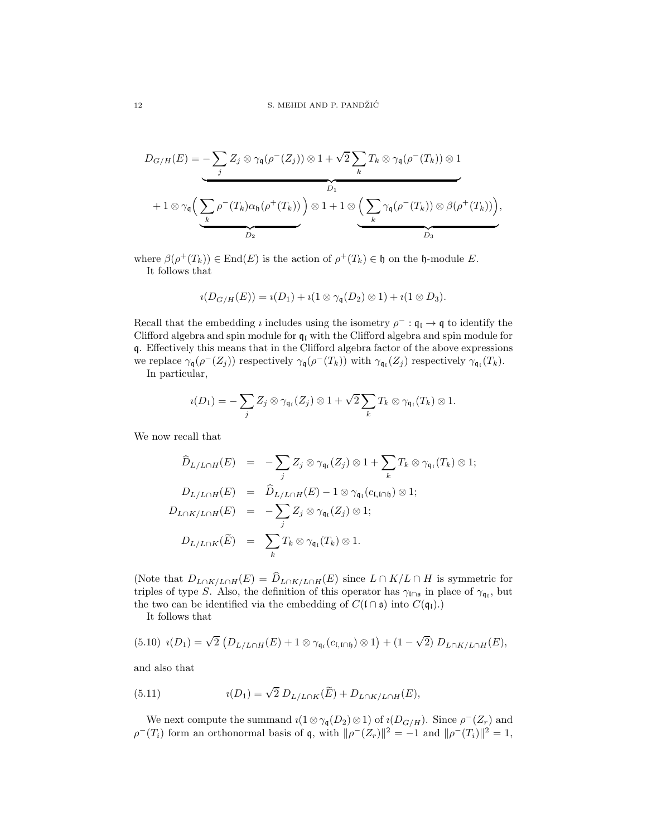$$
D_{G/H}(E) = -\sum_{j} Z_j \otimes \gamma_{\mathfrak{q}}(\rho^{-}(Z_j)) \otimes 1 + \sqrt{2} \sum_{k} T_k \otimes \gamma_{\mathfrak{q}}(\rho^{-}(T_k)) \otimes 1
$$
  
+  $1 \otimes \gamma_{\mathfrak{q}} \Big( \underbrace{\sum_{k} \rho^{-}(T_k) \alpha_{\mathfrak{h}}(\rho^{+}(T_k))}_{D_2} \Big) \otimes 1 + 1 \otimes \Big( \underbrace{\sum_{k} \gamma_{\mathfrak{q}}(\rho^{-}(T_k)) \otimes \beta(\rho^{+}(T_k))}_{D_3} \Big),$ 

where  $\beta(\rho^+(T_k)) \in \text{End}(E)$  is the action of  $\rho^+(T_k) \in \mathfrak{h}$  on the h-module E. It follows that

$$
\iota(D_{G/H}(E))=\iota(D_1)+\iota(1\otimes\gamma_{\mathfrak{q}}(D_2)\otimes 1)+\iota(1\otimes D_3).
$$

Recall that the embedding *i* includes using the isometry  $\rho^- : \mathfrak{q}_\mathfrak{l} \to \mathfrak{q}$  to identify the Clifford algebra and spin module for  $q_i$  with the Clifford algebra and spin module for q. Effectively this means that in the Clifford algebra factor of the above expressions we replace  $\gamma_{\mathfrak{q}}(\rho^{-}(Z_j))$  respectively  $\gamma_{\mathfrak{q}}(\rho^{-}(T_k))$  with  $\gamma_{\mathfrak{q}_{\mathfrak{l}}}(Z_j)$  respectively  $\gamma_{\mathfrak{q}_{\mathfrak{l}}}(T_k)$ . In particular,

$$
u(D_1) = -\sum_j Z_j \otimes \gamma_{\mathfrak{q}_1}(Z_j) \otimes 1 + \sqrt{2} \sum_k T_k \otimes \gamma_{\mathfrak{q}_1}(T_k) \otimes 1.
$$

We now recall that

$$
\widehat{D}_{L/L\cap H}(E) = -\sum_{j} Z_{j} \otimes \gamma_{\mathfrak{q}_{1}}(Z_{j}) \otimes 1 + \sum_{k} T_{k} \otimes \gamma_{\mathfrak{q}_{1}}(T_{k}) \otimes 1;
$$
\n
$$
D_{L/L\cap H}(E) = \widehat{D}_{L/L\cap H}(E) - 1 \otimes \gamma_{\mathfrak{q}_{1}}(c_{\mathfrak{l},\mathfrak{l}\cap\mathfrak{h}}) \otimes 1;
$$
\n
$$
D_{L\cap K/L\cap H}(E) = -\sum_{j} Z_{j} \otimes \gamma_{\mathfrak{q}_{1}}(Z_{j}) \otimes 1;
$$
\n
$$
D_{L/L\cap K}(\widetilde{E}) = \sum_{k} T_{k} \otimes \gamma_{\mathfrak{q}_{1}}(T_{k}) \otimes 1.
$$

(Note that  $D_{L\cap K/L\cap H}(E) = D_{L\cap K/L\cap H}(E)$  since  $L\cap K/L\cap H$  is symmetric for triples of type S. Also, the definition of this operator has  $\gamma_{\text{ln}}$  in place of  $\gamma_{\text{q}}$ , but the two can be identified via the embedding of  $C(\Gamma \cap \mathfrak{s})$  into  $C(\mathfrak{q}_{\mathfrak{l}})$ .

<span id="page-11-0"></span>It follows that

$$
(5.10) \ i(D_1) = \sqrt{2} \left( D_{L/L \cap H}(E) + 1 \otimes \gamma_{\mathfrak{q}_1}(c_{\mathfrak{l},\mathfrak{l} \cap \mathfrak{h}}) \otimes 1 \right) + (1 - \sqrt{2}) \ D_{L \cap K/L \cap H}(E),
$$

and also that

<span id="page-11-1"></span>(5.11) 
$$
i(D_1) = \sqrt{2} D_{L/L \cap K}(\widetilde{E}) + D_{L \cap K/L \cap H}(E),
$$

We next compute the summand  $\iota(1 \otimes \gamma_{\mathfrak{q}}(D_2) \otimes 1)$  of  $\iota(D_{G/H})$ . Since  $\rho^{-}(Z_r)$  and  $\rho^{-}(T_i)$  form an orthonormal basis of q, with  $\|\rho^{-}(Z_r)\|^2 = -1$  and  $\|\rho^{-}(T_i)\|^2 = 1$ ,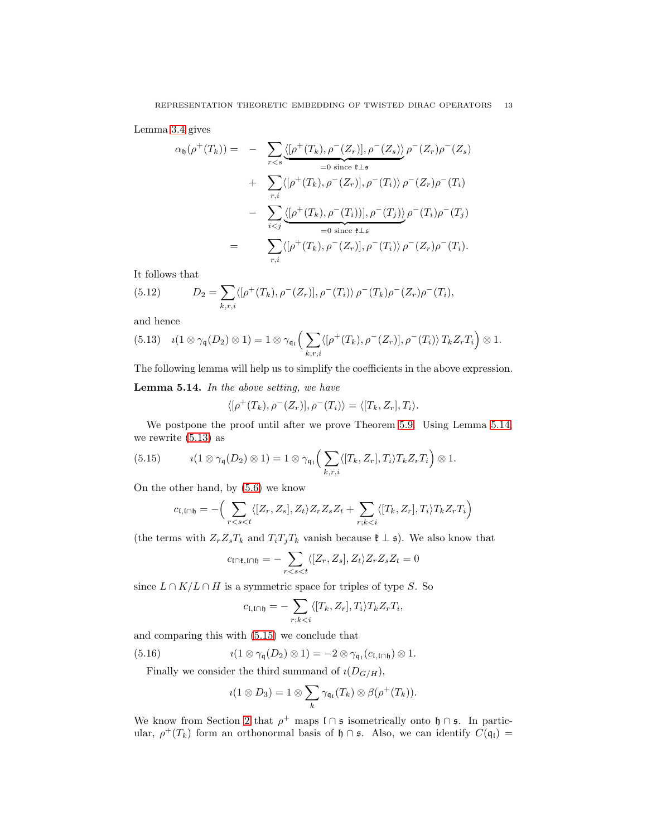Lemma [3.4](#page-5-0) gives

$$
\alpha_{\mathfrak{h}}(\rho^{+}(T_{k})) = - \sum_{r
$$
+ \sum_{r,i} \langle [\rho^{+}(T_{k}), \rho^{-}(Z_{r})], \rho^{-}(T_{i}) \rangle \rho^{-}(Z_{r})\rho^{-}(T_{i})
$$

$$
- \sum_{i
$$
$$

It follows that

(5.12) 
$$
D_2 = \sum_{k,r,i} \langle [\rho^+(T_k), \rho^-(Z_r)], \rho^-(T_i) \rangle \rho^-(T_k) \rho^-(Z_r) \rho^-(T_i),
$$

and hence

<span id="page-12-1"></span>(5.13) 
$$
i(1\otimes \gamma_{\mathfrak{q}}(D_2)\otimes 1)=1\otimes \gamma_{\mathfrak{q}_i}\Big(\sum_{k,r,i}\langle [\rho^+(T_k),\rho^-(Z_r)],\rho^-(T_i)\rangle T_kZ_rT_i\Big)\otimes 1.
$$

The following lemma will help us to simplify the coefficients in the above expression.

<span id="page-12-0"></span>Lemma 5.14. *In the above setting, we have*

$$
\langle [\rho^+(T_k), \rho^-(Z_r)], \rho^-(T_i) \rangle = \langle [T_k, Z_r], T_i \rangle.
$$

We postpone the proof until after we prove Theorem [5.9.](#page-10-0) Using Lemma [5.14,](#page-12-0) we rewrite [\(5.13\)](#page-12-1) as

(5.15) 
$$
i(1\otimes \gamma_{\mathfrak{q}}(D_2)\otimes 1)=1\otimes \gamma_{\mathfrak{q}_{\mathfrak{l}}} \Big(\sum_{k,r,i} \langle [T_k,Z_r],T_i\rangle T_k Z_r T_i\Big)\otimes 1.
$$

On the other hand, by [\(5.6\)](#page-9-2) we know

<span id="page-12-2"></span>
$$
c_{\mathfrak{l},\mathfrak{l}\cap\mathfrak{h}}=-\Big(\sum_{r
$$

(the terms with  $Z_rZ_sT_k$  and  $T_iT_jT_k$  vanish because  $\mathfrak{k} \perp \mathfrak{s}$ ). We also know that

$$
c_{\mathsf{I} \cap \mathfrak{k}, \mathsf{I} \cap \mathfrak{h}} = -\sum_{r < s < t} \langle [Z_r, Z_s], Z_t \rangle Z_r Z_s Z_t = 0
$$

since  $L \cap K/L \cap H$  is a symmetric space for triples of type S. So

$$
c_{\mathfrak{l},\mathfrak{l}\cap\mathfrak{h}}=-\sum_{r;k
$$

and comparing this with [\(5.15\)](#page-12-2) we conclude that

(5.16) 
$$
i(1 \otimes \gamma_{\mathfrak{q}}(D_2) \otimes 1) = -2 \otimes \gamma_{\mathfrak{q}_1}(c_{\mathfrak{l},\mathfrak{l}\cap\mathfrak{h}}) \otimes 1.
$$

Finally we consider the third summand of  $\iota(D_{G/H})$ ,

<span id="page-12-3"></span>
$$
\iota(1\otimes D_3)=1\otimes\sum_k\gamma_{\mathfrak{q}_1}(T_k)\otimes\beta(\rho^+(T_k)).
$$

We know from Section [2](#page-1-0) that  $\rho^+$  maps  $\mathfrak{l} \cap \mathfrak{s}$  isometrically onto  $\mathfrak{h} \cap \mathfrak{s}$ . In particular,  $\rho^+(T_k)$  form an orthonormal basis of  $\mathfrak{h} \cap \mathfrak{s}$ . Also, we can identify  $C(\mathfrak{q}_\mathfrak{l}) =$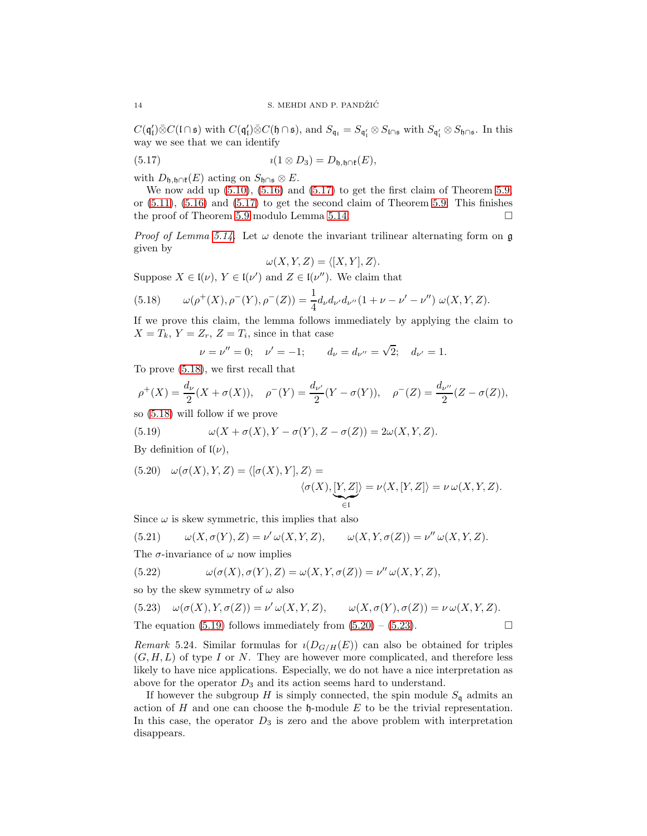$C(\mathfrak{q}'_{\mathfrak{l}})\bar{\otimes}C(\mathfrak{l}\cap\mathfrak{s})$  with  $C(\mathfrak{q}'_{\mathfrak{l}})\bar{\otimes}C(\mathfrak{h}\cap\mathfrak{s})$ , and  $S_{\mathfrak{q}_{\mathfrak{l}}}=S_{\mathfrak{q}'_{\mathfrak{l}}}\otimes S_{\mathfrak{l}\cap\mathfrak{s}}$  with  $S_{\mathfrak{q}'_{\mathfrak{l}}}\otimes S_{\mathfrak{h}\cap\mathfrak{s}}$ . In this way we see that we can identify

(5.17) 
$$
i(1 \otimes D_3) = D_{\mathfrak{h}, \mathfrak{h} \cap \mathfrak{k}}(E),
$$

with  $D_{\mathfrak{h},\mathfrak{h}\cap\mathfrak{k}}(E)$  acting on  $S_{\mathfrak{h}\cap\mathfrak{s}}\otimes E$ .

We now add up [\(5.10\)](#page-11-0), [\(5.16\)](#page-12-3) and [\(5.17\)](#page-13-0) to get the first claim of Theorem [5.9,](#page-10-0) or  $(5.11)$ ,  $(5.16)$  and  $(5.17)$  to get the second claim of Theorem [5.9.](#page-10-0) This finishes the proof of Theorem [5.9](#page-10-0) modulo Lemma [5.14.](#page-12-0)

*Proof of Lemma [5.14.](#page-12-0)* Let  $\omega$  denote the invariant trilinear alternating form on g given by

<span id="page-13-0"></span>
$$
\omega(X, Y, Z) = \langle [X, Y], Z \rangle.
$$

Suppose  $X \in \mathfrak{l}(\nu)$ ,  $Y \in \mathfrak{l}(\nu')$  and  $Z \in \mathfrak{l}(\nu'')$ . We claim that

<span id="page-13-1"></span>(5.18) 
$$
\omega(\rho^+(X), \rho^-(Y), \rho^-(Z)) = \frac{1}{4} d_{\nu} d_{\nu'} d_{\nu''} (1 + \nu - \nu' - \nu'') \omega(X, Y, Z).
$$

If we prove this claim, the lemma follows immediately by applying the claim to  $X = T_k$ ,  $Y = Z_r$ ,  $Z = T_i$ , since in that case

$$
\nu = \nu'' = 0;
$$
  $\nu' = -1;$   $d_{\nu} = d_{\nu''} = \sqrt{2}; d_{\nu'} = 1.$ 

To prove [\(5.18\)](#page-13-1), we first recall that

$$
\rho^+(X) = \frac{d_\nu}{2}(X + \sigma(X)), \quad \rho^-(Y) = \frac{d_{\nu'}}{2}(Y - \sigma(Y)), \quad \rho^-(Z) = \frac{d_{\nu''}}{2}(Z - \sigma(Z)),
$$

so [\(5.18\)](#page-13-1) will follow if we prove

<span id="page-13-2"></span>(5.19) 
$$
\omega(X + \sigma(X), Y - \sigma(Y), Z - \sigma(Z)) = 2\omega(X, Y, Z).
$$

By definition of  $\mathfrak{l}(\nu)$ ,

<span id="page-13-3"></span>(5.20) 
$$
\omega(\sigma(X), Y, Z) = \langle [\sigma(X), Y], Z \rangle =
$$
  
 $\langle \sigma(X), [Y, Z] \rangle = \nu \langle X, [Y, Z] \rangle = \nu \omega(X, Y, Z).$ 

Since  $\omega$  is skew symmetric, this implies that also

(5.21) 
$$
\omega(X, \sigma(Y), Z) = \nu' \omega(X, Y, Z), \qquad \omega(X, Y, \sigma(Z)) = \nu'' \omega(X, Y, Z).
$$

The  $\sigma$ -invariance of  $\omega$  now implies

(5.22) 
$$
\omega(\sigma(X), \sigma(Y), Z) = \omega(X, Y, \sigma(Z)) = \nu'' \omega(X, Y, Z),
$$

so by the skew symmetry of  $\omega$  also

<span id="page-13-4"></span>(5.23) 
$$
\omega(\sigma(X), Y, \sigma(Z)) = \nu' \omega(X, Y, Z), \qquad \omega(X, \sigma(Y), \sigma(Z)) = \nu \omega(X, Y, Z).
$$
The equation (5.19) follows immediately from (5.20) – (5.23).

*Remark* 5.24. Similar formulas for  $\iota(D_{G/H}(E))$  can also be obtained for triples  $(G, H, L)$  of type I or N. They are however more complicated, and therefore less likely to have nice applications. Especially, we do not have a nice interpretation as above for the operator  $D_3$  and its action seems hard to understand.

If however the subgroup H is simply connected, the spin module  $S_q$  admits an action of  $H$  and one can choose the  $\mathfrak h$ -module  $E$  to be the trivial representation. In this case, the operator  $D_3$  is zero and the above problem with interpretation disappears.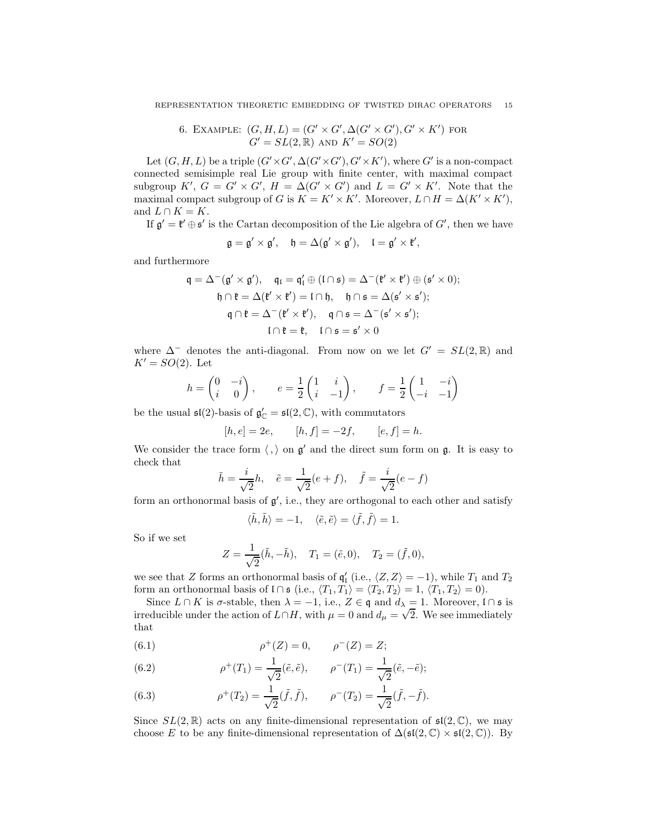6. EXAMPLE: 
$$
(G, H, L) = (G' \times G', \Delta(G' \times G'), G' \times K')
$$
 for  $G' = SL(2, \mathbb{R})$  and  $K' = SO(2)$ 

<span id="page-14-0"></span>Let  $(G, H, L)$  be a triple  $(G' \times G', \Delta(G' \times G'), G' \times K')$ , where  $G'$  is a non-compact connected semisimple real Lie group with finite center, with maximal compact subgroup  $K'$ ,  $G = G' \times G'$ ,  $H = \Delta(G' \times G')$  and  $L = G' \times K'$ . Note that the maximal compact subgroup of G is  $K = K' \times K'$ . Moreover,  $L \cap H = \Delta(K' \times K')$ , and  $L \cap K = K$ .

If  $\mathfrak{g}' = \mathfrak{k}' \oplus \mathfrak{s}'$  is the Cartan decomposition of the Lie algebra of  $G'$ , then we have

$$
\mathfrak{g}=\mathfrak{g}'\times\mathfrak{g}',\quad \mathfrak{h}=\Delta(\mathfrak{g}'\times\mathfrak{g}'),\quad \mathfrak{l}=\mathfrak{g}'\times\mathfrak{k}',
$$

and furthermore

$$
\mathfrak{q} = \Delta^-(\mathfrak{g}' \times \mathfrak{g}'), \quad \mathfrak{q}_\mathfrak{l} = \mathfrak{q}'_\mathfrak{l} \oplus (\mathfrak{l} \cap \mathfrak{s}) = \Delta^-(\mathfrak{k}' \times \mathfrak{k}') \oplus (\mathfrak{s}' \times 0);
$$

$$
\mathfrak{h} \cap \mathfrak{k} = \Delta(\mathfrak{k}' \times \mathfrak{k}') = \mathfrak{l} \cap \mathfrak{h}, \quad \mathfrak{h} \cap \mathfrak{s} = \Delta(\mathfrak{s}' \times \mathfrak{s}');
$$

$$
\mathfrak{q} \cap \mathfrak{k} = \Delta^-(\mathfrak{k}' \times \mathfrak{k}'), \quad \mathfrak{q} \cap \mathfrak{s} = \Delta^-(\mathfrak{s}' \times \mathfrak{s}');
$$

$$
\mathfrak{l} \cap \mathfrak{k} = \mathfrak{k}, \quad \mathfrak{l} \cap \mathfrak{s} = \mathfrak{s}' \times 0
$$

where  $\Delta^-$  denotes the anti-diagonal. From now on we let  $G' = SL(2,\mathbb{R})$  and  $K' = SO(2)$ . Let

$$
h = \begin{pmatrix} 0 & -i \\ i & 0 \end{pmatrix}, \qquad e = \frac{1}{2} \begin{pmatrix} 1 & i \\ i & -1 \end{pmatrix}, \qquad f = \frac{1}{2} \begin{pmatrix} 1 & -i \\ -i & -1 \end{pmatrix}
$$

be the usual  $\mathfrak{sl}(2)$ -basis of  $\mathfrak{g}'_{\mathbb{C}} = \mathfrak{sl}(2, \mathbb{C})$ , with commutators

$$
[h, e] = 2e
$$
,  $[h, f] = -2f$ ,  $[e, f] = h$ .

We consider the trace form  $\langle , \rangle$  on  $\mathfrak{g}'$  and the direct sum form on  $\mathfrak{g}$ . It is easy to check that

$$
\tilde{h} = \frac{i}{\sqrt{2}}h, \quad \tilde{e} = \frac{1}{\sqrt{2}}(e+f), \quad \tilde{f} = \frac{i}{\sqrt{2}}(e-f)
$$

form an orthonormal basis of  $g'$ , i.e., they are orthogonal to each other and satisfy

$$
\langle \tilde{h}, \tilde{h} \rangle = -1, \quad \langle \tilde{e}, \tilde{e} \rangle = \langle \tilde{f}, \tilde{f} \rangle = 1.
$$

So if we set

$$
Z = \frac{1}{\sqrt{2}}(\tilde{h}, -\tilde{h}), \quad T_1 = (\tilde{e}, 0), \quad T_2 = (\tilde{f}, 0),
$$

we see that Z forms an orthonormal basis of  $\mathfrak{q}'_1$  (i.e.,  $\langle Z, Z \rangle = -1$ ), while  $T_1$  and  $T_2$ form an orthonormal basis of  $I \cap \mathfrak{s}$  (i.e.,  $\langle T_1, T_1 \rangle = \langle T_2, T_2 \rangle = 1, \langle T_1, T_2 \rangle = 0$ ).

Since  $L \cap K$  is  $\sigma$ -stable, then  $\lambda = -1$ , i.e.,  $Z \in \mathfrak{q}$  and  $d_{\lambda} = 1$ . Moreover,  $\mathfrak{l} \cap \mathfrak{s}$  is irreducible under the action of  $L \cap H$ , with  $\mu = 0$  and  $d_{\mu} = \sqrt{2}$ . We see immediately that

(6.1) 
$$
\rho^+(Z) = 0, \qquad \rho^-(Z) = Z;
$$

(6.2) 
$$
\rho^+(T_1) = \frac{1}{\sqrt{2}} (\tilde{e}, \tilde{e}), \qquad \rho^-(T_1) = \frac{1}{\sqrt{2}} (\tilde{e}, -\tilde{e});
$$

(6.3) 
$$
\rho^+(T_2) = \frac{1}{\sqrt{2}}(\tilde{f}, \tilde{f}), \qquad \rho^-(T_2) = \frac{1}{\sqrt{2}}(\tilde{f}, -\tilde{f}).
$$

Since  $SL(2,\mathbb{R})$  acts on any finite-dimensional representation of  $\mathfrak{sl}(2,\mathbb{C})$ , we may choose E to be any finite-dimensional representation of  $\Delta(\mathfrak{sl}(2,\mathbb{C}) \times \mathfrak{sl}(2,\mathbb{C}))$ . By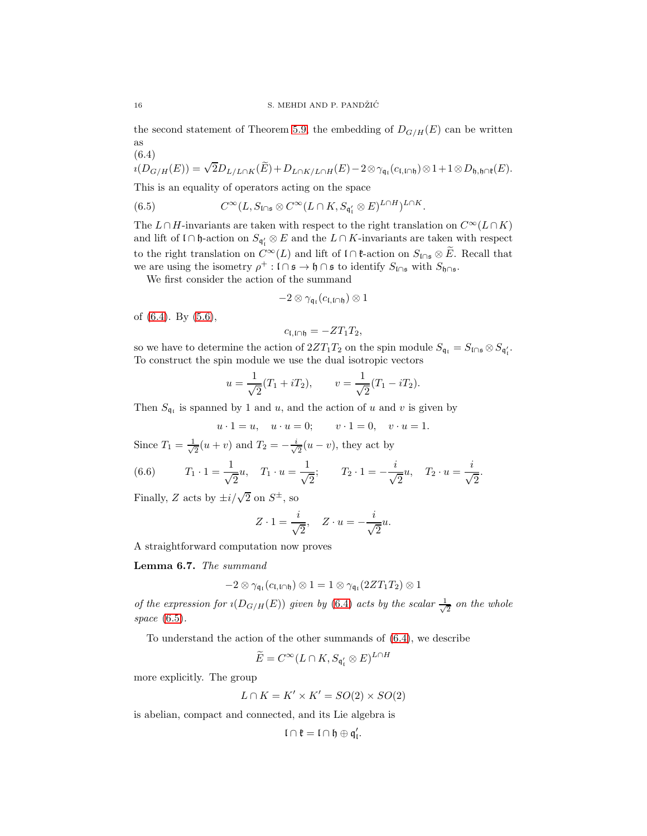the second statement of Theorem [5.9,](#page-10-0) the embedding of  $D_{G/H}(E)$  can be written as

<span id="page-15-0"></span>
$$
(6.4)
$$
  

$$
i(D_{G/H}(E)) = \sqrt{2}D_{L/L \cap K}(\widetilde{E}) + D_{L \cap K/L \cap H}(E) - 2 \otimes \gamma_{\mathfrak{q}_1}(c_{\mathfrak{l},\mathfrak{l} \cap \mathfrak{h}}) \otimes 1 + 1 \otimes D_{\mathfrak{h},\mathfrak{h} \cap \mathfrak{k}}(E).
$$

This is an equality of operators acting on the space

<span id="page-15-1"></span>(6.5) 
$$
C^{\infty}(L, S_{\mathfrak{l}\cap\mathfrak{s}} \otimes C^{\infty}(L\cap K, S_{\mathfrak{q}'_{1}} \otimes E)^{L\cap H})^{L\cap K}.
$$

The  $L \cap H$ -invariants are taken with respect to the right translation on  $C^{\infty}(L \cap K)$ and lift of  $\mathfrak{l} \cap \mathfrak{h}$ -action on  $S_{\mathfrak{q}'_{\mathfrak{l}}} \otimes E$  and the  $L \cap K$ -invariants are taken with respect to the right translation on  $C^{\infty}(L)$  and lift of l ∩  $\mathfrak{k}$ -action on  $S_{\mathfrak{l}\cap\mathfrak{s}}\otimes E$ . Recall that we are using the isometry  $\rho^+ : \mathfrak{l} \cap \mathfrak{s} \to \mathfrak{h} \cap \mathfrak{s}$  to identify  $S_{\mathfrak{l} \cap \mathfrak{s}}$  with  $S_{\mathfrak{h} \cap \mathfrak{s}}$ .

We first consider the action of the summand

$$
-2\otimes\gamma_{\mathfrak{q}_\mathfrak{l}}(c_{\mathfrak{l},\mathfrak{l}\cap\mathfrak{h}})\otimes 1
$$

of [\(6.4\)](#page-15-0). By [\(5.6\)](#page-9-2),

$$
c_{\mathfrak{l},\mathfrak{l}\cap\mathfrak{h}}=-ZT_1T_2,
$$

so we have to determine the action of  $2ZT_1T_2$  on the spin module  $S_{\mathfrak{q}_\mathfrak{l}} = S_{\mathfrak{l} \cap \mathfrak{s}} \otimes S_{\mathfrak{q}_\mathfrak{l}'}$ . To construct the spin module we use the dual isotropic vectors

$$
u = \frac{1}{\sqrt{2}}(T_1 + iT_2), \qquad v = \frac{1}{\sqrt{2}}(T_1 - iT_2).
$$

Then  $S_{\mathfrak{q}_i}$  is spanned by 1 and u, and the action of u and v is given by

$$
u \cdot 1 = u, \quad u \cdot u = 0; \qquad v \cdot 1 = 0, \quad v \cdot u = 1.
$$

Since  $T_1 = \frac{1}{\sqrt{2}}$  $\frac{1}{2}(u+v)$  and  $T_2 = -\frac{i}{\sqrt{2}}$  $\frac{1}{2}(u-v)$ , they act by

(6.6) 
$$
T_1 \cdot 1 = \frac{1}{\sqrt{2}} u
$$
,  $T_1 \cdot u = \frac{1}{\sqrt{2}}$ ;  $T_2 \cdot 1 = -\frac{i}{\sqrt{2}} u$ ,  $T_2 \cdot u = \frac{i}{\sqrt{2}}$ .

Finally, Z acts by  $\pm i/\sqrt{2}$  on  $S^{\pm}$ , so

$$
Z \cdot 1 = \frac{i}{\sqrt{2}}, \quad Z \cdot u = -\frac{i}{\sqrt{2}}u.
$$

A straightforward computation now proves

<span id="page-15-2"></span>Lemma 6.7. *The summand*

$$
-2\otimes\gamma_{\mathfrak{q}_\mathfrak{l}}(c_{\mathfrak{l},\mathfrak{l}\cap\mathfrak{h}})\otimes 1=1\otimes\gamma_{\mathfrak{q}_\mathfrak{l}}(2ZT_1T_2)\otimes 1
$$

*of the expression for*  $\iota(D_{G/H}(E))$  *given by* [\(6.4\)](#page-15-0) *acts by the scalar*  $\frac{1}{\sqrt{2}}$ 2 *on the whole space* [\(6.5\)](#page-15-1)*.*

To understand the action of the other summands of [\(6.4\)](#page-15-0), we describe

$$
\widetilde{E} = C^{\infty}(L \cap K, S_{\mathfrak{q}'_{\mathfrak{l}}} \otimes E)^{L \cap H}
$$

more explicitly. The group

$$
L \cap K = K' \times K' = SO(2) \times SO(2)
$$

is abelian, compact and connected, and its Lie algebra is

$$
\mathfrak{l} \cap \mathfrak{k} = \mathfrak{l} \cap \mathfrak{h} \oplus \mathfrak{q}'_{\mathfrak{l}}.
$$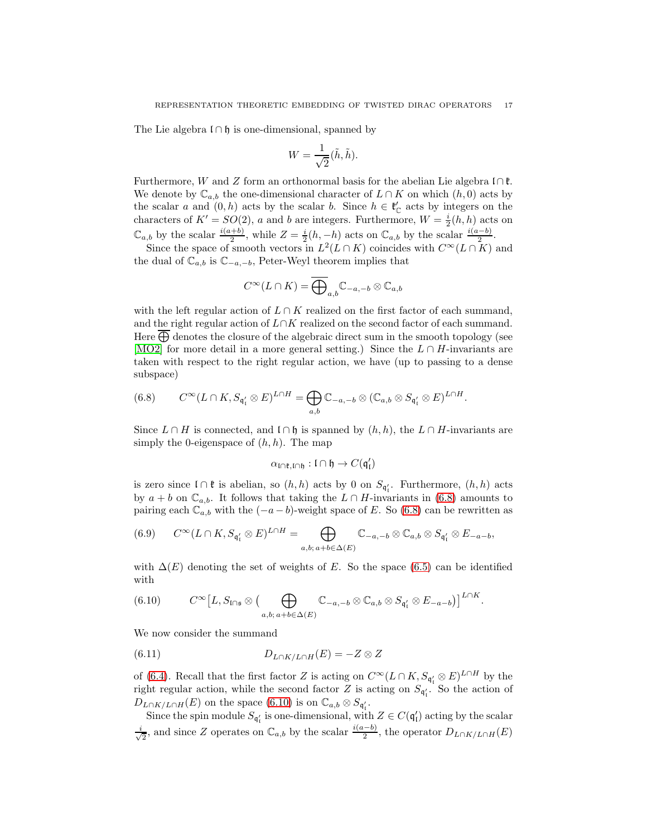The Lie algebra  $\mathfrak{l} \cap \mathfrak{h}$  is one-dimensional, spanned by

$$
W = \frac{1}{\sqrt{2}}(\tilde{h}, \tilde{h}).
$$

Furthermore, W and Z form an orthonormal basis for the abelian Lie algebra  $\bigcap \mathfrak{k}$ . We denote by  $\mathbb{C}_{a,b}$  the one-dimensional character of  $L \cap K$  on which  $(h, 0)$  acts by the scalar a and  $(0, h)$  acts by the scalar b. Since  $h \in \mathfrak{k}'_{\mathbb{C}}$  acts by integers on the characters of  $K' = SO(2)$ , a and b are integers. Furthermore,  $W = \frac{i}{2}(h, h)$  acts on  $\mathbb{C}_{a,b}$  by the scalar  $\frac{i(a+b)}{2}$ , while  $Z = \frac{i}{2}(h, -h)$  acts on  $\mathbb{C}_{a,b}$  by the scalar  $\frac{i(a-b)}{2}$ .

Since the space of smooth vectors in  $L^2(L \cap K)$  coincides with  $C^{\infty}(L \cap K)$  and the dual of  $\mathbb{C}_{a,b}$  is  $\mathbb{C}_{-a,-b}$ , Peter-Weyl theorem implies that

$$
C^{\infty}(L\cap K) = \overline{\bigoplus}_{a,b} \mathbb{C}_{-a,-b} \otimes \mathbb{C}_{a,b}
$$

with the left regular action of  $L \cap K$  realized on the first factor of each summand, and the right regular action of  $L\cap K$  realized on the second factor of each summand. Here  $\bigoplus$  denotes the closure of the algebraic direct sum in the smooth topology (see [\[MO2\]](#page-19-1) for more detail in a more general setting.) Since the  $L \cap H$ -invariants are taken with respect to the right regular action, we have (up to passing to a dense subspace)

<span id="page-16-0"></span>(6.8) 
$$
C^{\infty}(L \cap K, S_{\mathfrak{q}'_1} \otimes E)^{L \cap H} = \bigoplus_{a,b} \mathbb{C}_{-a,-b} \otimes (\mathbb{C}_{a,b} \otimes S_{\mathfrak{q}'_1} \otimes E)^{L \cap H}.
$$

Since  $L \cap H$  is connected, and  $\mathfrak{l} \cap \mathfrak{h}$  is spanned by  $(h, h)$ , the  $L \cap H$ -invariants are simply the 0-eigenspace of  $(h, h)$ . The map

$$
\alpha_{\mathfrak{l}\cap\mathfrak{k},\mathfrak{l}\cap\mathfrak{h}}:\mathfrak{l}\cap\mathfrak{h}\to C(\mathfrak{q}'_{\mathfrak{l}})
$$

is zero since  $\mathfrak{l} \cap \mathfrak{k}$  is abelian, so  $(h, h)$  acts by 0 on  $S_{\mathfrak{q}'_1}$ . Furthermore,  $(h, h)$  acts by  $a + b$  on  $\mathbb{C}_{a,b}$ . It follows that taking the  $L \cap H$ -invariants in [\(6.8\)](#page-16-0) amounts to pairing each  $\mathbb{C}_{a,b}$  with the  $(-a - b)$ -weight space of E. So [\(6.8\)](#page-16-0) can be rewritten as

(6.9) 
$$
C^{\infty}(L \cap K, S_{\mathfrak{q}'_1} \otimes E)^{L \cap H} = \bigoplus_{a,b; a+b \in \Delta(E)} \mathbb{C}_{-a,-b} \otimes \mathbb{C}_{a,b} \otimes S_{\mathfrak{q}'_1} \otimes E_{-a-b},
$$

with  $\Delta(E)$  denoting the set of weights of E. So the space [\(6.5\)](#page-15-1) can be identified with

<span id="page-16-1"></span>(6.10) 
$$
C^{\infty}[L, S_{\mathfrak{l}\cap\mathfrak{s}}\otimes (\bigoplus_{a,b;\,a+b\in\Delta(E)} \mathbb{C}_{-a,-b}\otimes \mathbb{C}_{a,b}\otimes S_{\mathfrak{q}'_i}\otimes E_{-a-b})]^{L\cap K}.
$$

We now consider the summand

<span id="page-16-2"></span>(6.11) 
$$
D_{L\cap K/L\cap H}(E) = -Z \otimes Z
$$

of [\(6.4\)](#page-15-0). Recall that the first factor Z is acting on  $C^{\infty}(L \cap K, S_{\mathfrak{q}'_1} \otimes E)^{L \cap H}$  by the right regular action, while the second factor Z is acting on  $S_{\mathfrak{q}'_l}$ . So the action of  $D_{L\cap K/L\cap H}(E)$  on the space [\(6.10\)](#page-16-1) is on  $\mathbb{C}_{a,b}\otimes S_{\mathfrak{q}'_1}$ .

Since the spin module  $S_{\mathfrak{q}'_1}$  is one-dimensional, with  $Z \in C(\mathfrak{q}'_1)$  acting by the scalar √ i <sub>2</sub>, and since Z operates on  $\mathbb{C}_{a,b}$  by the scalar  $\frac{i(a-b)}{2}$ , the operator  $D_{L\cap K/L\cap H}(E)$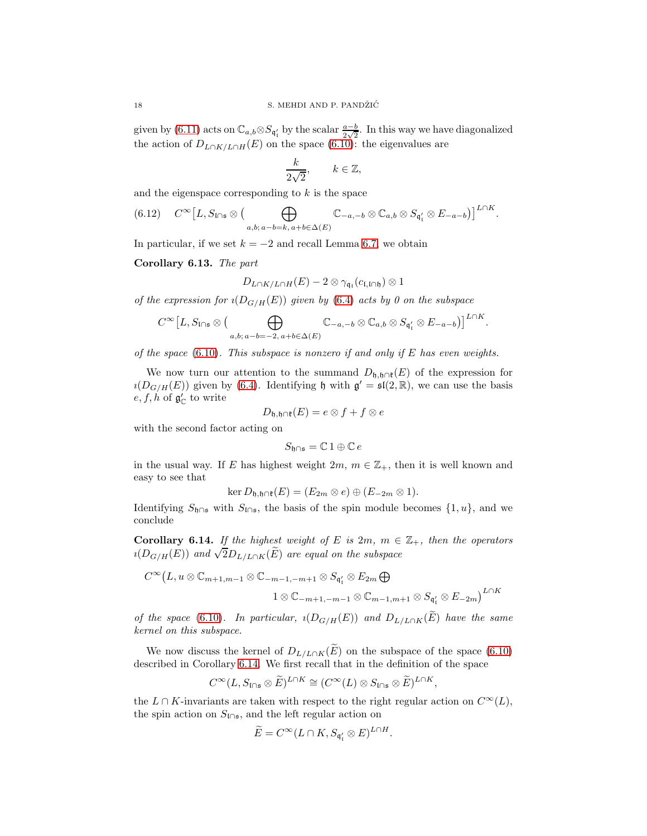given by [\(6.11\)](#page-16-2) acts on  $\mathbb{C}_{a,b} \otimes S_{\mathfrak{q}'_1}$  by the scalar  $\frac{a-b}{2\sqrt{2}}$ . In this way we have diagonalized the action of  $D_{L\cap K/L\cap H}(E)$  on the space [\(6.10\)](#page-16-1): the eigenvalues are

$$
\frac{k}{2\sqrt{2}}, \qquad k \in \mathbb{Z},
$$

and the eigenspace corresponding to  $k$  is the space

$$
(6.12) \quad C^{\infty}[L, S_{\mathfrak{l}\cap\mathfrak{s}}\otimes (\bigoplus_{a,b;\,a-b=k,\,a+b\in\Delta(E)} \mathbb{C}_{-a,-b}\otimes \mathbb{C}_{a,b}\otimes S_{\mathfrak{q}'_{\mathfrak{l}}}\otimes E_{-a-b})]^{L\cap K}.
$$

In particular, if we set  $k = -2$  and recall Lemma [6.7,](#page-15-2) we obtain

Corollary 6.13. *The part*

$$
D_{L\cap K/L\cap H}(E)-2\otimes \gamma_{\mathfrak{q}_\mathfrak{l}}(c_{\mathfrak{l},\mathfrak{l}\cap\mathfrak{h}})\otimes 1
$$

*of the expression for*  $\iota(D_{G/H}(E))$  *given by* [\(6.4\)](#page-15-0) *acts by* 0 *on the subspace* 

$$
C^{\infty}\left[L, S_{\mathfrak{l}\cap \mathfrak{s}}\otimes \big(\bigoplus_{a,b;\, a-b=-2,\, a+b\in \Delta(E)} \mathbb{C}_{-a,-b}\otimes \mathbb{C}_{a,b}\otimes S_{\mathfrak{q}'_1}\otimes E_{-a-b}\big)\right]^{L\cap K}
$$

.

*of the space* [\(6.10\)](#page-16-1)*. This subspace is nonzero if and only if* E *has even weights.*

We now turn our attention to the summand  $D_{\mathfrak{h},\mathfrak{h}\cap\mathfrak{k}}(E)$  of the expression for  $i(D_{G/H}(E))$  given by [\(6.4\)](#page-15-0). Identifying h with  $\mathfrak{g}' = \mathfrak{sl}(2,\mathbb{R})$ , we can use the basis  $e, f, h$  of  $\mathfrak{g}'_{\mathbb{C}}$  to write

$$
D_{\mathfrak{h},\mathfrak{h}\cap\mathfrak{k}}(E)=e\otimes f+f\otimes e
$$

with the second factor acting on

$$
S_{\mathfrak{h}\cap \mathfrak{s}}=\mathbb{C}\,1\oplus \mathbb{C}\,e
$$

in the usual way. If E has highest weight  $2m$ ,  $m \in \mathbb{Z}_+$ , then it is well known and easy to see that

$$
\ker D_{\mathfrak{h},\mathfrak{h}\cap\mathfrak{k}}(E)=(E_{2m}\otimes e)\oplus (E_{-2m}\otimes 1).
$$

Identifying  $S_{\mathfrak{h}\cap\mathfrak{s}}$  with  $S_{\mathfrak{l}\cap\mathfrak{s}}$ , the basis of the spin module becomes  $\{1,u\}$ , and we conclude

<span id="page-17-0"></span>Corollary 6.14. *If the highest weight of* E *is*  $2m$ ,  $m \in \mathbb{Z}_+$ , then the operators  $\mu(D_{G/H}(E))$  and  $\sqrt{2}D_{L/L\cap K}(\widetilde{E})$  are equal on the subspace

$$
C^{\infty}(L, u \otimes \mathbb{C}_{m+1,m-1} \otimes \mathbb{C}_{-m-1,-m+1} \otimes S_{\mathfrak{q}'_1} \otimes E_{2m} \bigoplus
$$
  

$$
1 \otimes \mathbb{C}_{-m+1,-m-1} \otimes \mathbb{C}_{m-1,m+1} \otimes S_{\mathfrak{q}'_1} \otimes E_{-2m} \bigg)^{L \cap K}
$$

*of the space* [\(6.10\)](#page-16-1)*.* In particular,  $\iota(D_{G/H}(E))$  and  $D_{L/L \cap K}(E)$  have the same *kernel on this subspace.*

We now discuss the kernel of  $D_{L/L \cap K}(\widetilde{E})$  on the subspace of the space [\(6.10\)](#page-16-1) described in Corollary [6.14.](#page-17-0) We first recall that in the definition of the space

$$
C^{\infty}(L, S_{\mathfrak{l}\cap\mathfrak{s}}\otimes \widetilde{E})^{L\cap K}\cong (C^{\infty}(L)\otimes S_{\mathfrak{l}\cap\mathfrak{s}}\otimes \widetilde{E})^{L\cap K},
$$

the L ∩ K-invariants are taken with respect to the right regular action on  $C^{\infty}(L)$ , the spin action on  $S_{\mathfrak{l}\cap\mathfrak{s}}$ , and the left regular action on

$$
\widetilde{E} = C^{\infty}(L \cap K, S_{\mathfrak{q}'_1} \otimes E)^{L \cap H}.
$$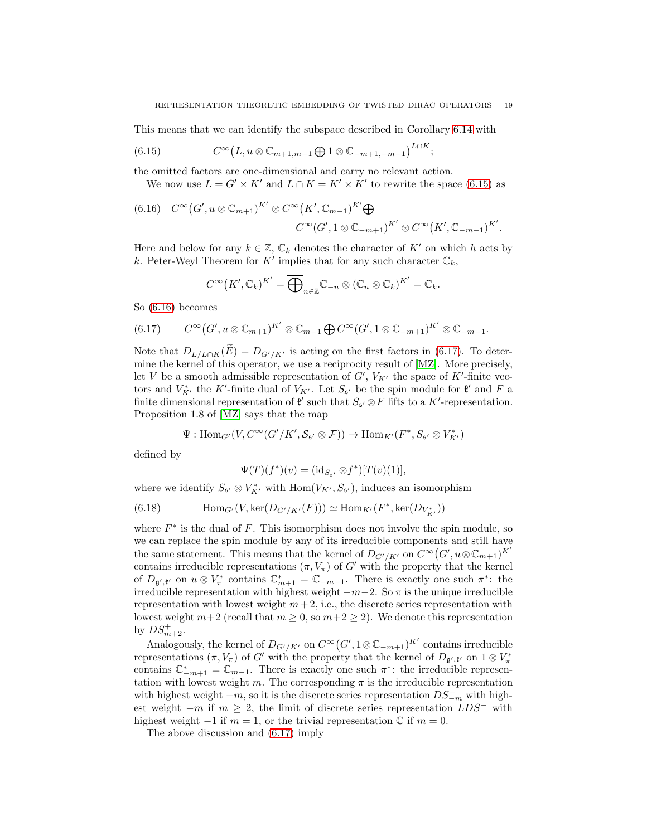This means that we can identify the subspace described in Corollary [6.14](#page-17-0) with

<span id="page-18-0"></span>(6.15) 
$$
C^{\infty}(L, u \otimes \mathbb{C}_{m+1,m-1} \bigoplus 1 \otimes \mathbb{C}_{-m+1,-m-1})^{L \cap K};
$$

the omitted factors are one-dimensional and carry no relevant action.

We now use  $L = G' \times K'$  and  $L \cap K = K' \times K'$  to rewrite the space [\(6.15\)](#page-18-0) as

<span id="page-18-1"></span>(6.16) 
$$
C^{\infty}(G', u \otimes \mathbb{C}_{m+1})^{K'} \otimes C^{\infty}(K', \mathbb{C}_{m-1})^{K'} \bigoplus
$$
  
 $C^{\infty}(G', 1 \otimes \mathbb{C}_{-m+1})^{K'} \otimes C^{\infty}(K', \mathbb{C}_{-m-1})^{K'}.$ 

Here and below for any  $k \in \mathbb{Z}$ ,  $\mathbb{C}_k$  denotes the character of  $K'$  on which h acts by k. Peter-Weyl Theorem for  $K'$  implies that for any such character  $\mathbb{C}_k$ ,

$$
C^{\infty}(K',\mathbb{C}_k)^{K'}=\overline{\bigoplus}_{n\in\mathbb{Z}}\mathbb{C}_{-n}\otimes(\mathbb{C}_n\otimes\mathbb{C}_k)^{K'}=\mathbb{C}_k.
$$

So [\(6.16\)](#page-18-1) becomes

<span id="page-18-2"></span>
$$
(6.17) \qquad C^{\infty}(G', u \otimes \mathbb{C}_{m+1})^{K'} \otimes \mathbb{C}_{m-1} \bigoplus C^{\infty}(G', 1 \otimes \mathbb{C}_{-m+1})^{K'} \otimes \mathbb{C}_{-m-1}.
$$

Note that  $D_{L/L \cap K}(\tilde{E}) = D_{G'/K'}$  is acting on the first factors in [\(6.17\)](#page-18-2). To determine the kernel of this operator, we use a reciprocity result of [\[MZ\]](#page-19-7). More precisely, let V be a smooth admissible representation of  $G'$ ,  $V_{K'}$  the space of K'-finite vectors and  $V_{K'}^*$  the K'-finite dual of  $V_{K'}$ . Let  $S_{\mathfrak{s}'}$  be the spin module for  $\mathfrak{k}'$  and F a finite dimensional representation of  $\mathfrak{k}'$  such that  $S_{\mathfrak{s}'} \otimes F$  lifts to a  $K'$ -representation. Proposition 1.8 of [\[MZ\]](#page-19-7) says that the map

$$
\Psi: \text{Hom}_{G'}(V, C^{\infty}(G'/K', \mathcal{S}_{\mathfrak{s}'} \otimes \mathcal{F})) \to \text{Hom}_{K'}(F^*, S_{\mathfrak{s}'} \otimes V_{K'}^*)
$$

defined by

$$
\Psi(T)(f^*)(v) = (\mathrm{id}_{S_{\mathfrak{s}'}} \otimes f^*)[T(v)(1)],
$$

where we identify  $S_{\mathfrak{s}'} \otimes V_{K'}^*$  with  $\text{Hom}(V_{K'}, S_{\mathfrak{s}'})$ , induces an isomorphism

(6.18) 
$$
\text{Hom}_{G'}(V, \text{ker}(D_{G'/K'}(F))) \simeq \text{Hom}_{K'}(F^*, \text{ker}(D_{V^*_{K'}}))
$$

where  $F^*$  is the dual of F. This isomorphism does not involve the spin module, so we can replace the spin module by any of its irreducible components and still have the same statement. This means that the kernel of  $D_{G'/K'}$  on  $C^{\infty}(G', u\otimes \mathbb{C}_{m+1})^{K'}$ contains irreducible representations  $(\pi, V_{\pi})$  of G' with the property that the kernel of  $D_{\mathfrak{g}',\mathfrak{k}'}$  on  $u \otimes V^*_{\pi}$  contains  $\mathbb{C}^*_{m+1} = \mathbb{C}_{-m-1}$ . There is exactly one such  $\pi^*$ : the irreducible representation with highest weight  $-m-2$ . So  $\pi$  is the unique irreducible representation with lowest weight  $m + 2$ , i.e., the discrete series representation with lowest weight  $m+2$  (recall that  $m \geq 0$ , so  $m+2 \geq 2$ ). We denote this representation by  $DS_{m+2}^+$ .

Analogously, the kernel of  $D_{G'/K'}$  on  $C^{\infty}(G', 1 \otimes \mathbb{C}_{-m+1})^{K'}$  contains irreducible representations  $(\pi, V_{\pi})$  of G' with the property that the kernel of  $D_{\mathfrak{g}', \mathfrak{k}'}$  on  $1 \otimes V_{\pi}^*$ contains  $\mathbb{C}_{-m+1}^* = \mathbb{C}_{m-1}$ . There is exactly one such  $\pi^*$ : the irreducible representation with lowest weight m. The corresponding  $\pi$  is the irreducible representation with highest weight  $-m$ , so it is the discrete series representation  $DS_{-m}^-$  with highest weight  $-m$  if  $m \geq 2$ , the limit of discrete series representation  $LDS^-$  with highest weight  $-1$  if  $m = 1$ , or the trivial representation  $\mathbb C$  if  $m = 0$ .

The above discussion and [\(6.17\)](#page-18-2) imply